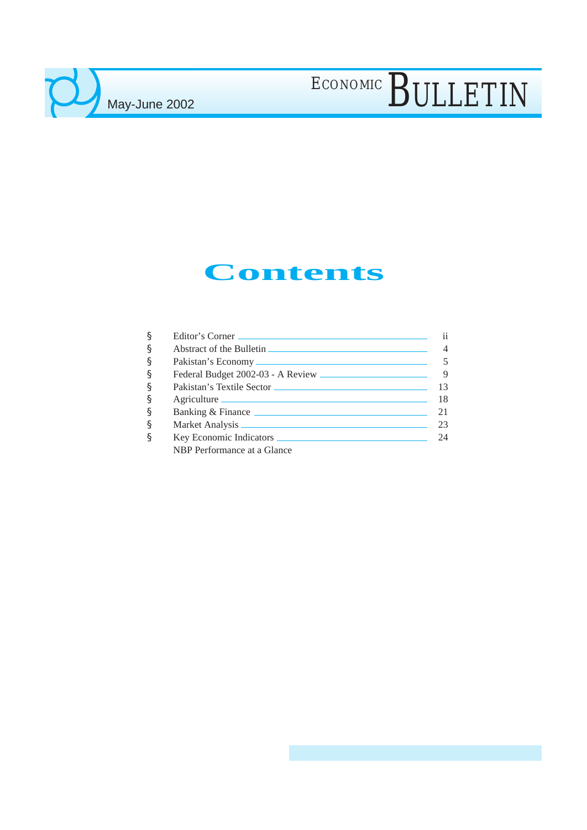### **Contents**

| § | Editor's Corner             | 11 |
|---|-----------------------------|----|
| § |                             |    |
| § |                             |    |
| § |                             | 9  |
| § |                             |    |
| § | Agriculture                 | 18 |
| § | Banking & Finance           | 21 |
| § |                             | 23 |
| § |                             | 24 |
|   | NBP Performance at a Glance |    |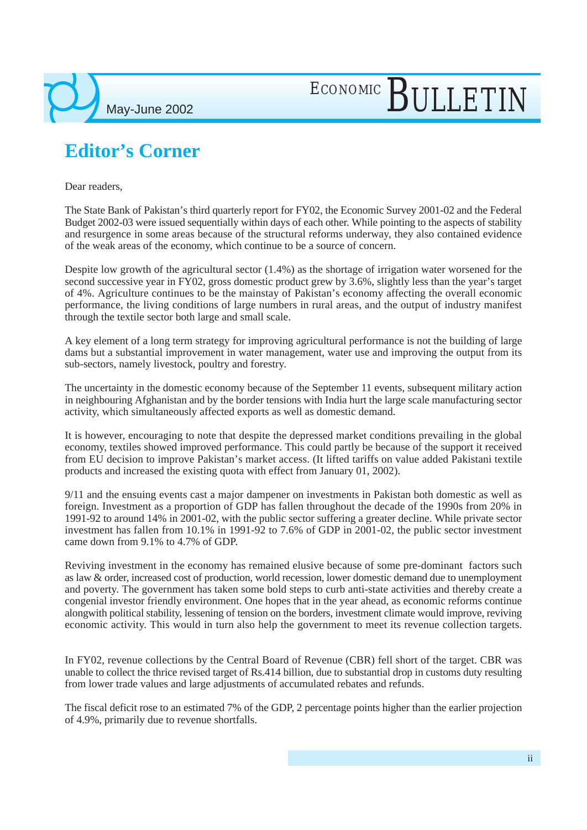

### **Editor's Corner**

Dear readers,

The State Bank of Pakistan's third quarterly report for FY02, the Economic Survey 2001-02 and the Federal Budget 2002-03 were issued sequentially within days of each other. While pointing to the aspects of stability and resurgence in some areas because of the structural reforms underway, they also contained evidence of the weak areas of the economy, which continue to be a source of concern.

ECONOMIC BULLETIN

Despite low growth of the agricultural sector (1.4%) as the shortage of irrigation water worsened for the second successive year in FY02, gross domestic product grew by 3.6%, slightly less than the year's target of 4%. Agriculture continues to be the mainstay of Pakistan's economy affecting the overall economic performance, the living conditions of large numbers in rural areas, and the output of industry manifest through the textile sector both large and small scale.

A key element of a long term strategy for improving agricultural performance is not the building of large dams but a substantial improvement in water management, water use and improving the output from its sub-sectors, namely livestock, poultry and forestry.

The uncertainty in the domestic economy because of the September 11 events, subsequent military action in neighbouring Afghanistan and by the border tensions with India hurt the large scale manufacturing sector activity, which simultaneously affected exports as well as domestic demand.

It is however, encouraging to note that despite the depressed market conditions prevailing in the global economy, textiles showed improved performance. This could partly be because of the support it received from EU decision to improve Pakistan's market access. (It lifted tariffs on value added Pakistani textile products and increased the existing quota with effect from January 01, 2002).

9/11 and the ensuing events cast a major dampener on investments in Pakistan both domestic as well as foreign. Investment as a proportion of GDP has fallen throughout the decade of the 1990s from 20% in 1991-92 to around 14% in 2001-02, with the public sector suffering a greater decline. While private sector investment has fallen from 10.1% in 1991-92 to 7.6% of GDP in 2001-02, the public sector investment came down from 9.1% to 4.7% of GDP.

Reviving investment in the economy has remained elusive because of some pre-dominant factors such as law & order, increased cost of production, world recession, lower domestic demand due to unemployment and poverty. The government has taken some bold steps to curb anti-state activities and thereby create a congenial investor friendly environment. One hopes that in the year ahead, as economic reforms continue alongwith political stability, lessening of tension on the borders, investment climate would improve, reviving economic activity. This would in turn also help the government to meet its revenue collection targets.

In FY02, revenue collections by the Central Board of Revenue (CBR) fell short of the target. CBR was unable to collect the thrice revised target of Rs.414 billion, due to substantial drop in customs duty resulting from lower trade values and large adjustments of accumulated rebates and refunds.

The fiscal deficit rose to an estimated 7% of the GDP, 2 percentage points higher than the earlier projection of 4.9%, primarily due to revenue shortfalls.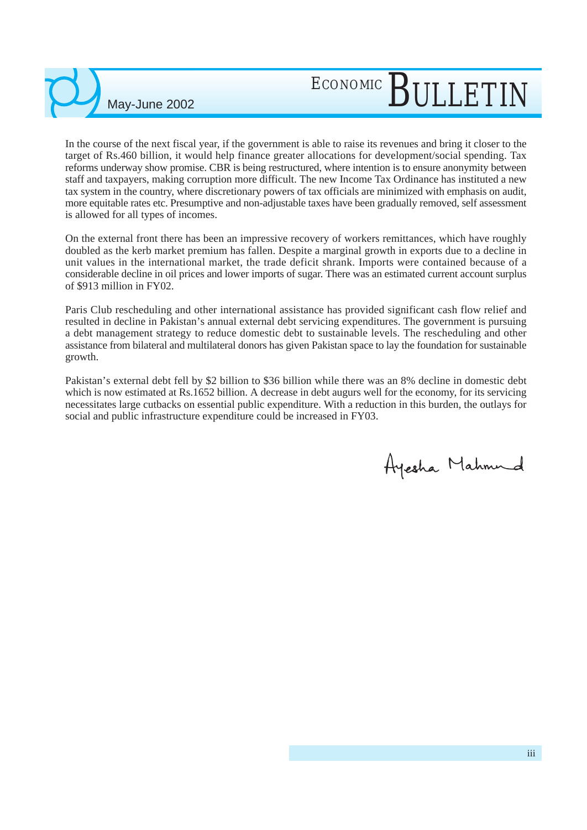In the course of the next fiscal year, if the government is able to raise its revenues and bring it closer to the target of Rs.460 billion, it would help finance greater allocations for development/social spending. Tax reforms underway show promise. CBR is being restructured, where intention is to ensure anonymity between staff and taxpayers, making corruption more difficult. The new Income Tax Ordinance has instituted a new tax system in the country, where discretionary powers of tax officials are minimized with emphasis on audit, more equitable rates etc. Presumptive and non-adjustable taxes have been gradually removed, self assessment is allowed for all types of incomes.

May-June 2002

On the external front there has been an impressive recovery of workers remittances, which have roughly doubled as the kerb market premium has fallen. Despite a marginal growth in exports due to a decline in unit values in the international market, the trade deficit shrank. Imports were contained because of a considerable decline in oil prices and lower imports of sugar. There was an estimated current account surplus of \$913 million in FY02.

Paris Club rescheduling and other international assistance has provided significant cash flow relief and resulted in decline in Pakistan's annual external debt servicing expenditures. The government is pursuing a debt management strategy to reduce domestic debt to sustainable levels. The rescheduling and other assistance from bilateral and multilateral donors has given Pakistan space to lay the foundation for sustainable growth.

Pakistan's external debt fell by \$2 billion to \$36 billion while there was an 8% decline in domestic debt which is now estimated at Rs.1652 billion. A decrease in debt augurs well for the economy, for its servicing necessitates large cutbacks on essential public expenditure. With a reduction in this burden, the outlays for social and public infrastructure expenditure could be increased in FY03.

Ayesha Mahmud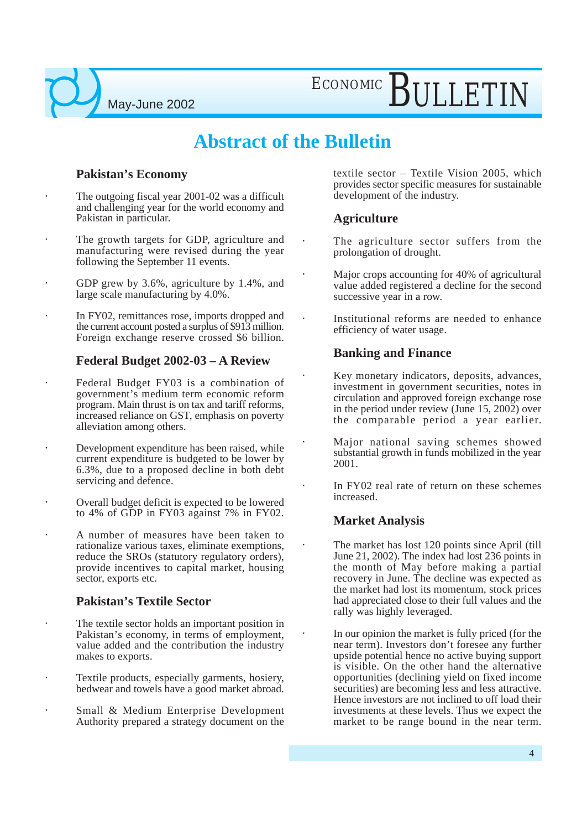ECONOMIC BULLETIN

### **Abstract of the Bulletin**

#### **Pakistan's Economy**

- The outgoing fiscal year 2001-02 was a difficult and challenging year for the world economy and Pakistan in particular.
- The growth targets for GDP, agriculture and manufacturing were revised during the year following the September 11 events.
- GDP grew by 3.6%, agriculture by 1.4%, and large scale manufacturing by 4.0%.
- In FY02, remittances rose, imports dropped and the current account posted a surplus of \$913 million. Foreign exchange reserve crossed \$6 billion.

#### **Federal Budget 2002-03 – A Review**

- Federal Budget FY03 is a combination of government's medium term economic reform program. Main thrust is on tax and tariff reforms, increased reliance on GST, emphasis on poverty alleviation among others.
- Development expenditure has been raised, while current expenditure is budgeted to be lower by 6.3%, due to a proposed decline in both debt servicing and defence.
- Overall budget deficit is expected to be lowered to 4% of GDP in FY03 against 7% in FY02.
- A number of measures have been taken to rationalize various taxes, eliminate exemptions, reduce the SROs (statutory regulatory orders), provide incentives to capital market, housing sector, exports etc.

#### **Pakistan's Textile Sector**

- The textile sector holds an important position in Pakistan's economy, in terms of employment, value added and the contribution the industry makes to exports.
- Textile products, especially garments, hosiery, bedwear and towels have a good market abroad.
- Small & Medium Enterprise Development Authority prepared a strategy document on the

textile sector – Textile Vision 2005, which provides sector specific measures for sustainable development of the industry.

#### **Agriculture**

- The agriculture sector suffers from the prolongation of drought.
- Major crops accounting for 40% of agricultural value added registered a decline for the second successive year in a row.
- Institutional reforms are needed to enhance efficiency of water usage.

#### **Banking and Finance**

- Key monetary indicators, deposits, advances, investment in government securities, notes in circulation and approved foreign exchange rose in the period under review (June 15, 2002) over the comparable period a year earlier.
- Major national saving schemes showed substantial growth in funds mobilized in the year 2001.
- In FY02 real rate of return on these schemes increased.

#### **Market Analysis**

- The market has lost 120 points since April (till June 21, 2002). The index had lost 236 points in the month of May before making a partial recovery in June. The decline was expected as the market had lost its momentum, stock prices had appreciated close to their full values and the rally was highly leveraged.
- In our opinion the market is fully priced (for the near term). Investors don't foresee any further upside potential hence no active buying support is visible. On the other hand the alternative opportunities (declining yield on fixed income securities) are becoming less and less attractive. Hence investors are not inclined to off load their investments at these levels. Thus we expect the market to be range bound in the near term.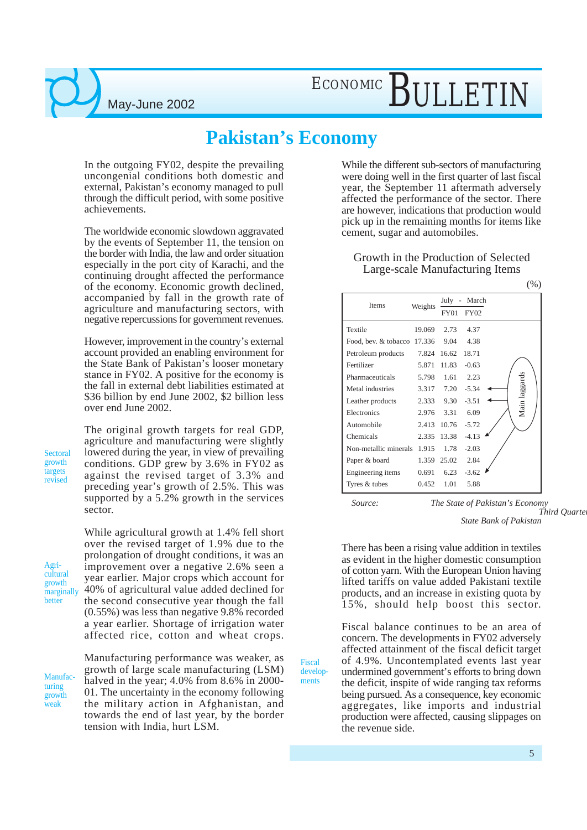ECONOMIC BULLETIN

### **Pakistan's Economy**

In the outgoing FY02, despite the prevailing uncongenial conditions both domestic and external, Pakistan's economy managed to pull through the difficult period, with some positive achievements.

The worldwide economic slowdown aggravated by the events of September 11, the tension on the border with India, the law and order situation especially in the port city of Karachi, and the continuing drought affected the performance of the economy. Economic growth declined, accompanied by fall in the growth rate of agriculture and manufacturing sectors, with negative repercussions for government revenues.

However, improvement in the country's external account provided an enabling environment for the State Bank of Pakistan's looser monetary stance in FY02. A positive for the economy is the fall in external debt liabilities estimated at \$36 billion by end June 2002, \$2 billion less over end June 2002.

The original growth targets for real GDP, agriculture and manufacturing were slightly lowered during the year, in view of prevailing conditions. GDP grew by 3.6% in FY02 as against the revised target of 3.3% and preceding year's growth of 2.5%. This was supported by a 5.2% growth in the services sector.

While agricultural growth at 1.4% fell short

Agricultural growth marginally

better

**Sectoral** growth targets revised

> over the revised target of 1.9% due to the prolongation of drought conditions, it was an improvement over a negative 2.6% seen a year earlier. Major crops which account for 40% of agricultural value added declined for the second consecutive year though the fall (0.55%) was less than negative 9.8% recorded a year earlier. Shortage of irrigation water affected rice, cotton and wheat crops.

Manufacturing growth weak

Manufacturing performance was weaker, as growth of large scale manufacturing (LSM) halved in the year; 4.0% from 8.6% in 2000-01. The uncertainty in the economy following the military action in Afghanistan, and towards the end of last year, by the border tension with India, hurt LSM.

While the different sub-sectors of manufacturing were doing well in the first quarter of last fiscal year, the September 11 aftermath adversely affected the performance of the sector. There are however, indications that production would pick up in the remaining months for items like cement, sugar and automobiles.

Growth in the Production of Selected Large-scale Manufacturing Items

|                             |         |             |                          | $\sqrt{2}$ |
|-----------------------------|---------|-------------|--------------------------|------------|
| Items                       | Weights | July -      | March                    |            |
|                             |         | FY01        | FY02                     |            |
| Textile                     | 19.069  | 2.73        | 4.37                     |            |
| Food, bev. & tobacco 17.336 |         | 9.04        | 4.38                     |            |
| Petroleum products          | 7.824   | 16.62       | 18.71                    |            |
| Fertilizer                  | 5.871   | 11.83       | $-0.63$                  |            |
| Pharmaceuticals             | 5.798   | 1.61        | 2.23                     |            |
| Metal industries            | 3.317   | 7.20        | Main laggards<br>$-5.34$ |            |
| Leather products            |         | 2.333 9.30  | $-3.51$                  |            |
| Electronics                 | 2.976   | 3.31        | 6.09                     |            |
| Automobile                  | 2.413   | 10.76       | $-5.72$                  |            |
| Chemicals                   | 2.335   | 13.38       | $-4.13$                  |            |
| Non-metallic minerals       | 1.915   | 1.78        | $-2.03$                  |            |
| Paper & board               |         | 1.359 25.02 | 2.84                     |            |
| Engineering items           | 0.691   | 6.23        | $-3.62$                  |            |
| Tyres & tubes               | 0.452   | 1.01        | 5.88                     |            |

Fiscal developments

*Source: The State of Pakistan's Economy Third Quarterly Report Formato* 

*State Bank of Pakistan*

 $(0/2)$ 

There has been a rising value addition in textiles as evident in the higher domestic consumption of cotton yarn. With the European Union having lifted tariffs on value added Pakistani textile products, and an increase in existing quota by 15%, should help boost this sector.

Fiscal balance continues to be an area of concern. The developments in FY02 adversely affected attainment of the fiscal deficit target of 4.9%. Uncontemplated events last year undermined government's efforts to bring down the deficit, inspite of wide ranging tax reforms being pursued. As a consequence, key economic aggregates, like imports and industrial production were affected, causing slippages on the revenue side.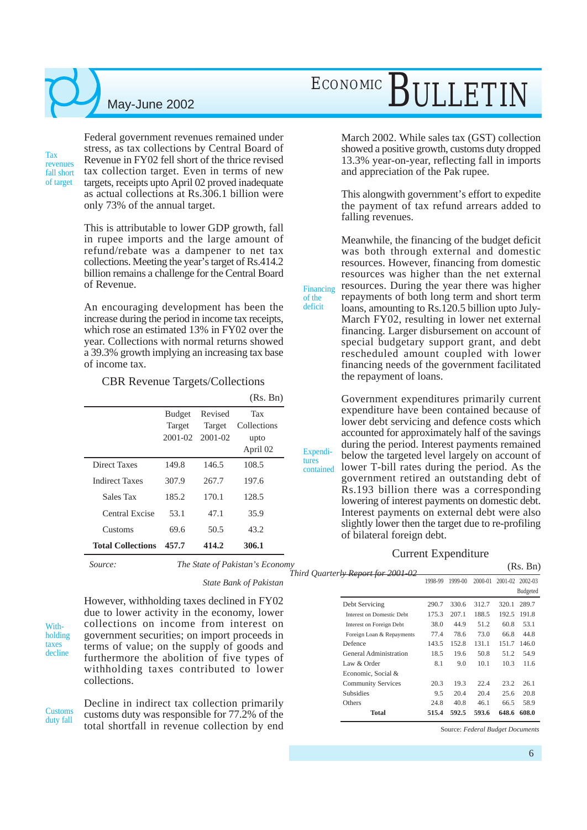Tax revenues fall short of target

Federal government revenues remained under stress, as tax collections by Central Board of Revenue in FY02 fell short of the thrice revised tax collection target. Even in terms of new targets, receipts upto April 02 proved inadequate as actual collections at Rs.306.1 billion were only 73% of the annual target.

This is attributable to lower GDP growth, fall in rupee imports and the large amount of refund/rebate was a dampener to net tax collections. Meeting the year's target of Rs.414.2 billion remains a challenge for the Central Board of Revenue.

An encouraging development has been the increase during the period in income tax receipts, which rose an estimated 13% in FY02 over the year. Collections with normal returns showed a 39.3% growth implying an increasing tax base of income tax.

#### CBR Revenue Targets/Collections

|                          |               |                 | (Rs. Bn)    |
|--------------------------|---------------|-----------------|-------------|
|                          | <b>Budget</b> | Revised         | Tax         |
|                          | Target        | Target          | Collections |
|                          |               | 2001-02 2001-02 | upto        |
|                          |               |                 | April 02    |
| Direct Taxes             | 149.8         | 146.5           | 108.5       |
| <b>Indirect Taxes</b>    | 307.9         | 267.7           | 197.6       |
| Sales Tax                | 185.2         | 170.1           | 128.5       |
| Central Excise           | 53.1          | 47.1            | 35.9        |
| Customs                  | 69.6          | 50.5            | 43.2        |
| <b>Total Collections</b> | 457.7         | 414.2           | 306.1       |

*Source: The State of Pakistan's Economy*  $T$ *hird Quarte* 

*State Bank of Pakistan*

Withholding taxes decline

However, withholding taxes declined in FY02 due to lower activity in the economy, lower collections on income from interest on government securities; on import proceeds in terms of value; on the supply of goods and furthermore the abolition of five types of withholding taxes contributed to lower collections.

**Customs** duty fall Decline in indirect tax collection primarily customs duty was responsible for 77.2% of the total shortfall in revenue collection by end

## ECONOMIC BULLETIN

March 2002. While sales tax (GST) collection showed a positive growth, customs duty dropped 13.3% year-on-year, reflecting fall in imports and appreciation of the Pak rupee.

This alongwith government's effort to expedite the payment of tax refund arrears added to falling revenues.

Meanwhile, the financing of the budget deficit was both through external and domestic resources. However, financing from domestic resources was higher than the net external resources. During the year there was higher repayments of both long term and short term loans, amounting to Rs.120.5 billion upto July-March FY02, resulting in lower net external financing. Larger disbursement on account of special budgetary support grant, and debt rescheduled amount coupled with lower financing needs of the government facilitated the repayment of loans.

Financing of the deficit

Expenditures

Government expenditures primarily current expenditure have been contained because of lower debt servicing and defence costs which accounted for approximately half of the savings during the period. Interest payments remained below the targeted level largely on account of lower T-bill rates during the period. As the government retired an outstanding debt of Rs.193 billion there was a corresponding lowering of interest payments on domestic debt. Interest payments on external debt were also slightly lower then the target due to re-profiling of bilateral foreign debt. contained

#### Current Expenditure

| erl <del>y Report for 2001-02</del> |         |         |         |             | (IAS. DII)                     |  |
|-------------------------------------|---------|---------|---------|-------------|--------------------------------|--|
|                                     | 1998-99 | 1999-00 | 2000-01 | $2001 - 02$ | $2002 - 03$<br><b>Budgeted</b> |  |
|                                     |         |         |         |             |                                |  |
| Debt Servicing                      | 290.7   | 330.6   | 312.7   | 320.1       | 289.7                          |  |
| Interest on Domestic Debt           | 175.3   | 207.1   | 188.5   | 192.5       | 191.8                          |  |
| Interest on Foreign Debt            | 38.0    | 44.9    | 51.2    | 60.8        | 53.1                           |  |
| Foreign Loan & Repayments           | 77.4    | 78.6    | 73.0    | 66.8        | 44.8                           |  |
| Defence                             | 143.5   | 152.8   | 131.1   | 151.7       | 146.0                          |  |
| General Administration              | 18.5    | 19.6    | 50.8    | 51.2        | 54.9                           |  |
| Law & Order                         | 8.1     | 9.0     | 10.1    | 10.3        | 11.6                           |  |
| Economic. Social &                  |         |         |         |             |                                |  |
| <b>Community Services</b>           | 20.3    | 19.3    | 22.4    | 23.2        | 26.1                           |  |
| <b>Subsidies</b>                    | 9.5     | 20.4    | 20.4    | 25.6        | 20.8                           |  |
| Others                              | 24.8    | 40.8    | 46.1    | 66.5        | 58.9                           |  |
| <b>Total</b>                        | 515.4   | 592.5   | 593.6   | 648.6       | 608.0                          |  |
|                                     |         |         |         |             |                                |  |

Source: *Federal Budget Documents*

 $(D<sub>s</sub>, D<sub>n</sub>)$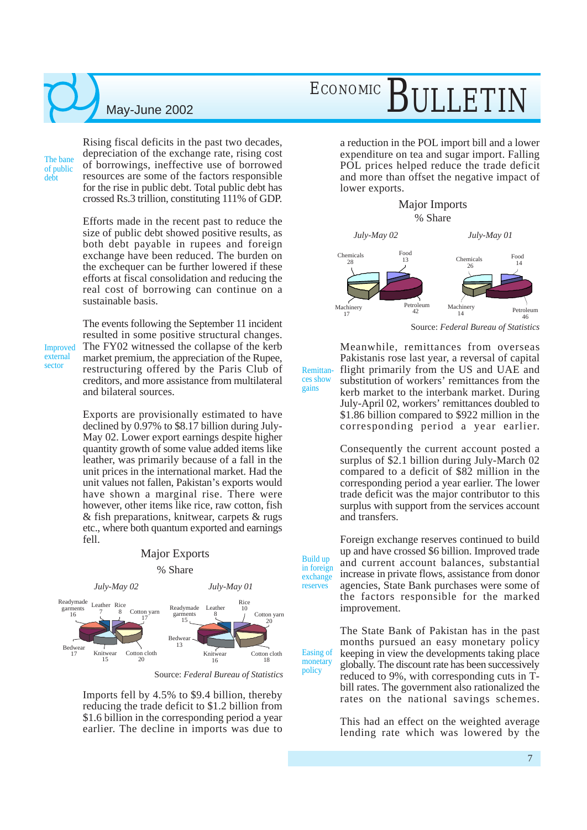The bane of public debt

Rising fiscal deficits in the past two decades, depreciation of the exchange rate, rising cost of borrowings, ineffective use of borrowed resources are some of the factors responsible for the rise in public debt. Total public debt has crossed Rs.3 trillion, constituting 111% of GDP.

Efforts made in the recent past to reduce the size of public debt showed positive results, as both debt payable in rupees and foreign exchange have been reduced. The burden on the exchequer can be further lowered if these efforts at fiscal consolidation and reducing the real cost of borrowing can continue on a sustainable basis.

Improved external sector

The events following the September 11 incident resulted in some positive structural changes. The FY02 witnessed the collapse of the kerb market premium, the appreciation of the Rupee, restructuring offered by the Paris Club of creditors, and more assistance from multilateral and bilateral sources.

Exports are provisionally estimated to have declined by 0.97% to \$8.17 billion during July-May 02. Lower export earnings despite higher quantity growth of some value added items like leather, was primarily because of a fall in the unit prices in the international market. Had the unit values not fallen, Pakistan's exports would have shown a marginal rise. There were however, other items like rice, raw cotton, fish & fish preparations, knitwear, carpets & rugs etc., where both quantum exported and earnings fell.



Source: *Federal Bureau of Statistics*

Build up

gains

exchange reserves

monetary policy

Imports fell by 4.5% to \$9.4 billion, thereby reducing the trade deficit to \$1.2 billion from \$1.6 billion in the corresponding period a year earlier. The decline in imports was due to

## ECONOMIC BULLET

a reduction in the POL import bill and a lower expenditure on tea and sugar import. Falling POL prices helped reduce the trade deficit and more than offset the negative impact of lower exports.

> Major Imports % Share



Meanwhile, remittances from overseas Pakistanis rose last year, a reversal of capital flight primarily from the US and UAE and substitution of workers' remittances from the kerb market to the interbank market. During July-April 02, workers' remittances doubled to \$1.86 billion compared to \$922 million in the corresponding period a year earlier. Remittances show

> Consequently the current account posted a surplus of \$2.1 billion during July-March 02 compared to a deficit of \$82 million in the corresponding period a year earlier. The lower trade deficit was the major contributor to this surplus with support from the services account and transfers.

in foreign Foreign exchange reserves continued to build up and have crossed \$6 billion. Improved trade and current account balances, substantial increase in private flows, assistance from donor agencies, State Bank purchases were some of the factors responsible for the marked improvement.

The State Bank of Pakistan has in the past months pursued an easy monetary policy keeping in view the developments taking place globally. The discount rate has been successively reduced to 9%, with corresponding cuts in Tbill rates. The government also rationalized the rates on the national savings schemes. Easing of

> This had an effect on the weighted average lending rate which was lowered by the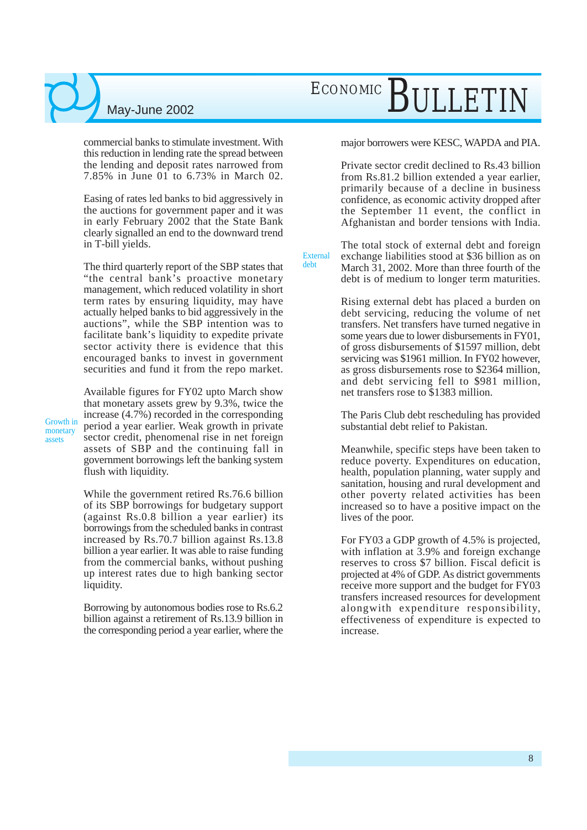commercial banks to stimulate investment. With this reduction in lending rate the spread between the lending and deposit rates narrowed from 7.85% in June 01 to 6.73% in March 02.

Easing of rates led banks to bid aggressively in the auctions for government paper and it was in early February 2002 that the State Bank clearly signalled an end to the downward trend in T-bill yields.

The third quarterly report of the SBP states that "the central bank's proactive monetary management, which reduced volatility in short term rates by ensuring liquidity, may have actually helped banks to bid aggressively in the auctions", while the SBP intention was to facilitate bank's liquidity to expedite private sector activity there is evidence that this encouraged banks to invest in government securities and fund it from the repo market.

Growth in monetary assets

Available figures for FY02 upto March show that monetary assets grew by 9.3%, twice the increase (4.7%) recorded in the corresponding period a year earlier. Weak growth in private sector credit, phenomenal rise in net foreign assets of SBP and the continuing fall in government borrowings left the banking system flush with liquidity.

While the government retired Rs.76.6 billion of its SBP borrowings for budgetary support (against Rs.0.8 billion a year earlier) its borrowings from the scheduled banks in contrast increased by Rs.70.7 billion against Rs.13.8 billion a year earlier. It was able to raise funding from the commercial banks, without pushing up interest rates due to high banking sector liquidity.

Borrowing by autonomous bodies rose to Rs.6.2 billion against a retirement of Rs.13.9 billion in the corresponding period a year earlier, where the

## ECONOMIC BULLETI

major borrowers were KESC, WAPDA and PIA.

Private sector credit declined to Rs.43 billion from Rs.81.2 billion extended a year earlier, primarily because of a decline in business confidence, as economic activity dropped after the September 11 event, the conflict in Afghanistan and border tensions with India.

The total stock of external debt and foreign exchange liabilities stood at \$36 billion as on March 31, 2002. More than three fourth of the debt is of medium to longer term maturities. External

debt

Rising external debt has placed a burden on debt servicing, reducing the volume of net transfers. Net transfers have turned negative in some years due to lower disbursements in FY01, of gross disbursements of \$1597 million, debt servicing was \$1961 million. In FY02 however, as gross disbursements rose to \$2364 million, and debt servicing fell to \$981 million, net transfers rose to \$1383 million.

The Paris Club debt rescheduling has provided substantial debt relief to Pakistan.

Meanwhile, specific steps have been taken to reduce poverty. Expenditures on education, health, population planning, water supply and sanitation, housing and rural development and other poverty related activities has been increased so to have a positive impact on the lives of the poor.

For FY03 a GDP growth of 4.5% is projected, with inflation at 3.9% and foreign exchange reserves to cross \$7 billion. Fiscal deficit is projected at 4% of GDP. As district governments receive more support and the budget for FY03 transfers increased resources for development alongwith expenditure responsibility, effectiveness of expenditure is expected to increase.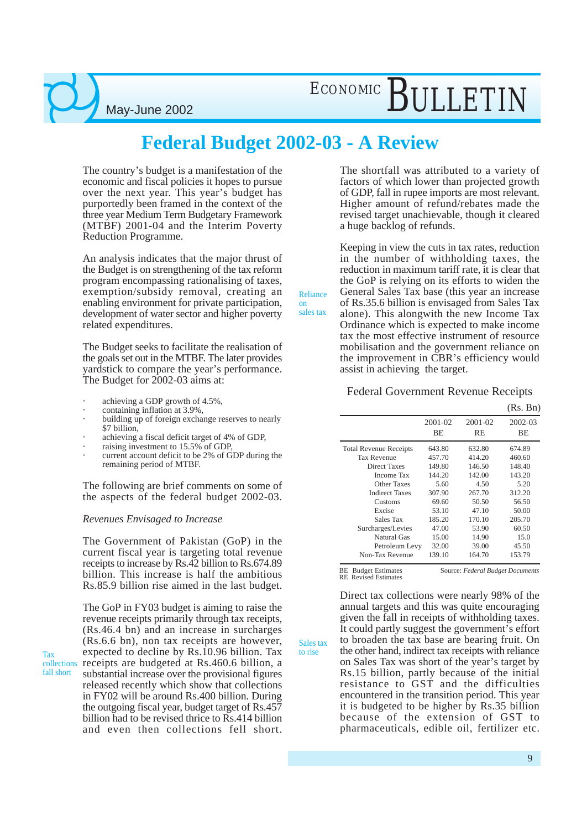## ECONOMIC BULLETI

### **Federal Budget 2002-03 - A Review**

Reliance on sales tax

Sales tax to rise

The country's budget is a manifestation of the economic and fiscal policies it hopes to pursue over the next year. This year's budget has purportedly been framed in the context of the three year Medium Term Budgetary Framework (MTBF) 2001-04 and the Interim Poverty Reduction Programme.

An analysis indicates that the major thrust of the Budget is on strengthening of the tax reform program encompassing rationalising of taxes, exemption/subsidy removal, creating an enabling environment for private participation, development of water sector and higher poverty related expenditures.

The Budget seeks to facilitate the realisation of the goals set out in the MTBF. The later provides yardstick to compare the year's performance. The Budget for 2002-03 aims at:

- achieving a GDP growth of 4.5%,
- containing inflation at 3.9%,
- building up of foreign exchange reserves to nearly \$7 billion,
- achieving a fiscal deficit target of 4% of GDP,
- raising investment to 15.5% of GDP,
- current account deficit to be 2% of GDP during the remaining period of MTBF.

The following are brief comments on some of the aspects of the federal budget 2002-03.

#### *Revenues Envisaged to Increase*

The Government of Pakistan (GoP) in the current fiscal year is targeting total revenue receipts to increase by Rs.42 billion to Rs.674.89 billion. This increase is half the ambitious Rs.85.9 billion rise aimed in the last budget.

The GoP in FY03 budget is aiming to raise the revenue receipts primarily through tax receipts, (Rs.46.4 bn) and an increase in surcharges (Rs.6.6 bn), non tax receipts are however, expected to decline by Rs.10.96 billion. Tax collections receipts are budgeted at Rs.460.6 billion, a substantial increase over the provisional figures released recently which show that collections in FY02 will be around Rs.400 billion. During the outgoing fiscal year, budget target of Rs.457 billion had to be revised thrice to Rs.414 billion and even then collections fell short. The shortfall was attributed to a variety of factors of which lower than projected growth of GDP, fall in rupee imports are most relevant. Higher amount of refund/rebates made the revised target unachievable, though it cleared a huge backlog of refunds.

Keeping in view the cuts in tax rates, reduction in the number of withholding taxes, the reduction in maximum tariff rate, it is clear that the GoP is relying on its efforts to widen the General Sales Tax base (this year an increase of Rs.35.6 billion is envisaged from Sales Tax alone). This alongwith the new Income Tax Ordinance which is expected to make income tax the most effective instrument of resource mobilisation and the government reliance on the improvement in CBR's efficiency would assist in achieving the target.

#### Federal Government Revenue Receipts

|                               |                          |                          | (Rs. Bn)                 |
|-------------------------------|--------------------------|--------------------------|--------------------------|
|                               | $2001 - 02$<br><b>BE</b> | $2001 - 02$<br><b>RE</b> | $2002 - 03$<br><b>BE</b> |
| <b>Total Revenue Receipts</b> | 643.80                   | 632.80                   | 674.89                   |
| <b>Tax Revenue</b>            | 457.70                   | 414.20                   | 460.60                   |
| <b>Direct Taxes</b>           | 149.80                   | 146.50                   | 148.40                   |
| <b>Income Tax</b>             | 144.20                   | 142.00                   | 143.20                   |
| Other Taxes                   | 5.60                     | 4.50                     | 5.20                     |
| <b>Indirect Taxes</b>         | 307.90                   | 267.70                   | 312.20                   |
| Customs                       | 69.60                    | 50.50                    | 56.50                    |
| Excise                        | 53.10                    | 47.10                    | 50.00                    |
| Sales Tax                     | 185.20                   | 170.10                   | 205.70                   |
| Surcharges/Levies             | 47.00                    | 53.90                    | 60.50                    |
| <b>Natural Gas</b>            | 15.00                    | 14.90                    | 15.0                     |
| Petroleum Levy                | 32.00                    | 39.00                    | 45.50                    |
| Non-Tax Revenue               | 139.10                   | 164.70                   | 153.79                   |

Source: *Federal Budget Documents*

BE Budget Estimates

RE Revised Estimates

Direct tax collections were nearly 98% of the annual targets and this was quite encouraging given the fall in receipts of withholding taxes. It could partly suggest the government's effort to broaden the tax base are bearing fruit. On the other hand, indirect tax receipts with reliance on Sales Tax was short of the year's target by Rs.15 billion, partly because of the initial resistance to GST and the difficulties encountered in the transition period. This year it is budgeted to be higher by Rs.35 billion because of the extension of GST to pharmaceuticals, edible oil, fertilizer etc.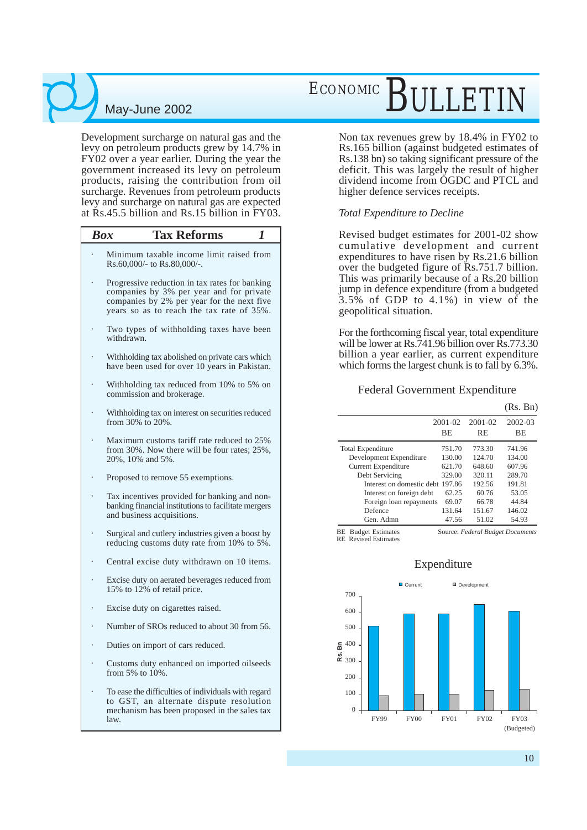Development surcharge on natural gas and the levy on petroleum products grew by 14.7% in FY02 over a year earlier. During the year the government increased its levy on petroleum products, raising the contribution from oil surcharge. Revenues from petroleum products levy and surcharge on natural gas are expected at Rs.45.5 billion and Rs.15 billion in FY03.

| <b>Box</b><br><b>Tax Reforms</b><br>1                                                                                                                                                 |
|---------------------------------------------------------------------------------------------------------------------------------------------------------------------------------------|
| Minimum taxable income limit raised from<br>Rs.60,000/- to Rs.80,000/-.                                                                                                               |
| Progressive reduction in tax rates for banking<br>companies by 3% per year and for private<br>companies by 2% per year for the next five<br>years so as to reach the tax rate of 35%. |
| Two types of withholding taxes have been<br>withdrawn.                                                                                                                                |
| Withholding tax abolished on private cars which<br>have been used for over 10 years in Pakistan.                                                                                      |
| Withholding tax reduced from 10% to 5% on<br>commission and brokerage.                                                                                                                |
| Withholding tax on interest on securities reduced<br>from 30% to 20%.                                                                                                                 |
| Maximum customs tariff rate reduced to 25%<br>from 30%. Now there will be four rates; 25%,<br>20%, 10% and 5%.                                                                        |
| Proposed to remove 55 exemptions.                                                                                                                                                     |
| Tax incentives provided for banking and non-<br>banking financial institutions to facilitate mergers<br>and business acquisitions.                                                    |
| Surgical and cutlery industries given a boost by<br>reducing customs duty rate from 10% to 5%.                                                                                        |
| Central excise duty withdrawn on 10 items.                                                                                                                                            |
| Excise duty on aerated beverages reduced from<br>15% to 12% of retail price.                                                                                                          |
| Excise duty on cigarettes raised.                                                                                                                                                     |
| Number of SROs reduced to about 30 from 56.                                                                                                                                           |
| Duties on import of cars reduced.                                                                                                                                                     |
| Customs duty enhanced on imported oilseeds<br>from $5\%$ to $10\%$ .                                                                                                                  |

• To ease the difficulties of individuals with regard to GST, an alternate dispute resolution mechanism has been proposed in the sales tax law.

## ECONOMIC RILLET

Non tax revenues grew by 18.4% in FY02 to Rs.165 billion (against budgeted estimates of Rs.138 bn) so taking significant pressure of the deficit. This was largely the result of higher dividend income from OGDC and PTCL and higher defence services receipts.

#### *Total Expenditure to Decline*

Revised budget estimates for 2001-02 show cumulative development and current expenditures to have risen by Rs.21.6 billion over the budgeted figure of Rs.751.7 billion. This was primarily because of a Rs.20 billion jump in defence expenditure (from a budgeted 3.5% of GDP to 4.1%) in view of the geopolitical situation.

For the forthcoming fiscal year, total expenditure will be lower at Rs.741.96 billion over Rs.773.30 billion a year earlier, as current expenditure which forms the largest chunk is to fall by  $6.3\%$ .

#### Federal Government Expenditure

|                                  |                    |                      | (Rs. Bn)             |
|----------------------------------|--------------------|----------------------|----------------------|
|                                  | $2001 - 02$<br>BE. | 2001-02<br><b>RE</b> | 2002-03<br><b>BE</b> |
| <b>Total Expenditure</b>         | 751.70             | 773.30               | 741.96               |
| Development Expenditure          | 130.00             | 124.70               | 134.00               |
| <b>Current Expenditure</b>       | 621.70             | 648.60               | 607.96               |
| Debt Servicing                   | 329.00             | 320.11               | 289.70               |
| Interest on domestic debt 197.86 |                    | 192.56               | 191.81               |
| Interest on foreign debt         | 62.25              | 60.76                | 53.05                |
| Foreign loan repayments          | 69.07              | 66.78                | 44.84                |
| Defence                          | 131.64             | 151.67               | 146.02               |
| Gen. Admn                        | 47.56              | 51.02                | 54.93                |

Source: *Federal Budget Documents* BE Budget Estimates RE Revised Estimates



#### Expenditure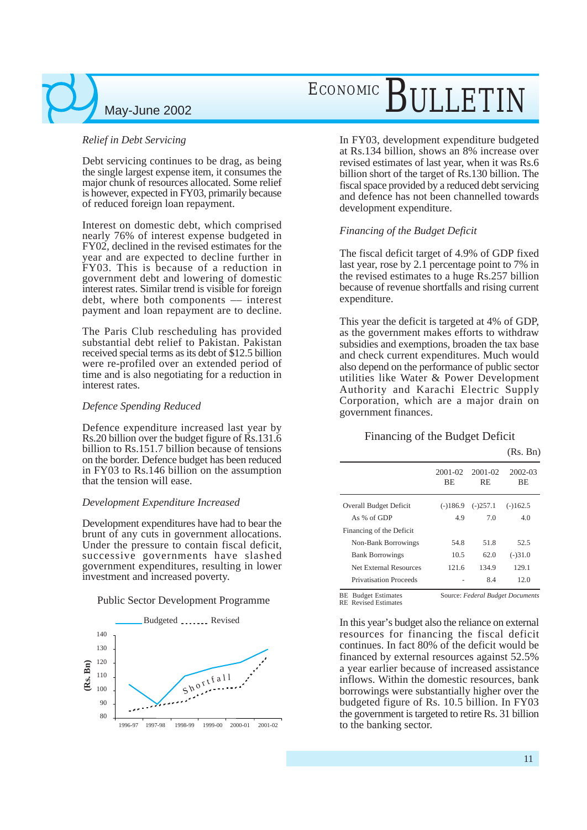#### *Relief in Debt Servicing*

Debt servicing continues to be drag, as being the single largest expense item, it consumes the major chunk of resources allocated. Some relief is however, expected in FY03, primarily because of reduced foreign loan repayment.

Interest on domestic debt, which comprised nearly 76% of interest expense budgeted in FY02, declined in the revised estimates for the year and are expected to decline further in FY03. This is because of a reduction in government debt and lowering of domestic interest rates. Similar trend is visible for foreign debt, where both components –– interest payment and loan repayment are to decline.

The Paris Club rescheduling has provided substantial debt relief to Pakistan. Pakistan received special terms as its debt of \$12.5 billion were re-profiled over an extended period of time and is also negotiating for a reduction in interest rates.

#### *Defence Spending Reduced*

Defence expenditure increased last year by Rs.20 billion over the budget figure of Rs.131.6 billion to Rs.151.7 billion because of tensions on the border. Defence budget has been reduced in FY03 to Rs.146 billion on the assumption that the tension will ease.

#### *Development Expenditure Increased*

Development expenditures have had to bear the brunt of any cuts in government allocations. Under the pressure to contain fiscal deficit, successive governments have slashed government expenditures, resulting in lower investment and increased poverty.

#### Public Sector Development Programme



## ECONOMIC BULLETI

In FY03, development expenditure budgeted at Rs.134 billion, shows an 8% increase over revised estimates of last year, when it was Rs.6 billion short of the target of Rs.130 billion. The fiscal space provided by a reduced debt servicing and defence has not been channelled towards development expenditure.

#### *Financing of the Budget Deficit*

The fiscal deficit target of 4.9% of GDP fixed last year, rose by 2.1 percentage point to 7% in the revised estimates to a huge Rs.257 billion because of revenue shortfalls and rising current expenditure.

This year the deficit is targeted at 4% of GDP, as the government makes efforts to withdraw subsidies and exemptions, broaden the tax base and check current expenditures. Much would also depend on the performance of public sector utilities like Water & Power Development Authority and Karachi Electric Supply Corporation, which are a major drain on government finances.

#### Financing of the Budget Deficit

(Rs. Bn)

|                               | 2001-02<br><b>BE</b> | 2001-02<br>RE. | 2002-03<br><b>BE</b> |
|-------------------------------|----------------------|----------------|----------------------|
| <b>Overall Budget Deficit</b> | $(-)186.9$           | $(-)257.1$     | $(-)162.5$           |
| As $%$ of GDP                 | 4.9                  | 70             | 40                   |
| Financing of the Deficit      |                      |                |                      |
| Non-Bank Borrowings           | 54 8                 | 51.8           | 52.5                 |
| <b>Bank Borrowings</b>        | 10.5                 | 62.0           | $(-)31.0$            |
| Net External Resources        | 1216                 | 1349           | 129.1                |
| Privatisation Proceeds        |                      | 84             | 12.0                 |

BE Budget Estimates RE Revised Estimates

Source: *Federal Budget Documents*

In this year's budget also the reliance on external resources for financing the fiscal deficit continues. In fact 80% of the deficit would be financed by external resources against 52.5% a year earlier because of increased assistance inflows. Within the domestic resources, bank borrowings were substantially higher over the budgeted figure of Rs. 10.5 billion. In FY03 the government is targeted to retire Rs. 31 billion to the banking sector.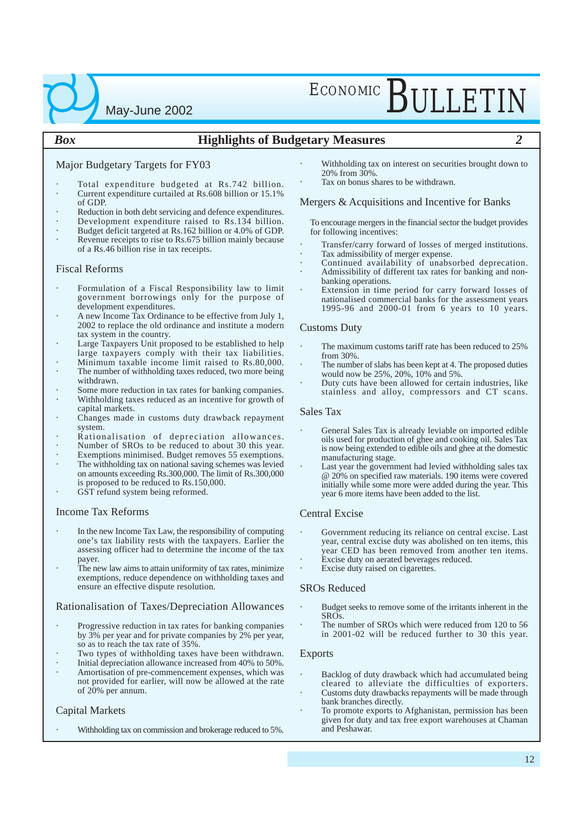# ECONOMIC RIJLETIN

#### *Box* **Highlights of Budgetary Measures** *2*

#### Major Budgetary Targets for FY03

May-June 2002

- Total expenditure budgeted at Rs.742 billion.
- Current expenditure curtailed at Rs.608 billion or 15.1% of GDP.
- Reduction in both debt servicing and defence expenditures.
- Development expenditure raised to Rs.134 billion.
- Budget deficit targeted at Rs.162 billion or 4.0% of GDP. Revenue receipts to rise to Rs.675 billion mainly because of a Rs.46 billion rise in tax receipts.

#### Fiscal Reforms

- Formulation of a Fiscal Responsibility law to limit government borrowings only for the purpose of development expenditures.
- A new Income Tax Ordinance to be effective from July 1, 2002 to replace the old ordinance and institute a modern tax system in the country.
- Large Taxpayers Unit proposed to be established to help large taxpayers comply with their tax liabilities.
- Minimum taxable income limit raised to Rs.80,000. The number of withholding taxes reduced, two more being
- withdrawn.
- Some more reduction in tax rates for banking companies.
- Withholding taxes reduced as an incentive for growth of capital markets.
- Changes made in customs duty drawback repayment system.
- Rationalisation of depreciation allowances.
- Number of SROs to be reduced to about 30 this year.
- Exemptions minimised. Budget removes 55 exemptions.
- The withholding tax on national saving schemes was levied on amounts exceeding Rs.300,000. The limit of Rs.300,000 is proposed to be reduced to Rs.150,000.
- GST refund system being reformed.

#### Income Tax Reforms

- In the new Income Tax Law, the responsibility of computing one's tax liability rests with the taxpayers. Earlier the assessing officer had to determine the income of the tax payer.
- The new law aims to attain uniformity of tax rates, minimize exemptions, reduce dependence on withholding taxes and ensure an effective dispute resolution.

#### Rationalisation of Taxes/Depreciation Allowances

- Progressive reduction in tax rates for banking companies by 3% per year and for private companies by 2% per year, so as to reach the tax rate of 35%.
- Two types of withholding taxes have been withdrawn.
- Initial depreciation allowance increased from 40% to 50%.
- Amortisation of pre-commencement expenses, which was not provided for earlier, will now be allowed at the rate of 20% per annum.

#### Capital Markets

• Withholding tax on commission and brokerage reduced to 5%.

- Withholding tax on interest on securities brought down to 20% from 30%.
- Tax on bonus shares to be withdrawn.

#### Mergers & Acquisitions and Incentive for Banks

To encourage mergers in the financial sector the budget provides for following incentives:

- Transfer/carry forward of losses of merged institutions.
- Tax admissibility of merger expense.
- Continued availability of unabsorbed deprecation. • Admissibility of different tax rates for banking and non-
- banking operations. Extension in time period for carry forward losses of nationalised commercial banks for the assessment years 1995-96 and 2000-01 from 6 years to 10 years.

#### Customs Duty

- The maximum customs tariff rate has been reduced to 25% from 30%.
- The number of slabs has been kept at 4. The proposed duties would now be 25%, 20%, 10% and 5%.
- Duty cuts have been allowed for certain industries, like stainless and alloy, compressors and CT scans.

#### Sales Tax

- General Sales Tax is already leviable on imported edible oils used for production of ghee and cooking oil. Sales Tax is now being extended to edible oils and ghee at the domestic manufacturing stage.
- Last year the government had levied withholding sales tax @ 20% on specified raw materials. 190 items were covered initially while some more were added during the year. This year 6 more items have been added to the list.

#### Central Excise

- Government reducing its reliance on central excise. Last year, central excise duty was abolished on ten items, this year CED has been removed from another ten items.
- Excise duty on aerated beverages reduced.
- Excise duty raised on cigarettes.

#### SROs Reduced

- Budget seeks to remove some of the irritants inherent in the SROs.
- The number of SROs which were reduced from 120 to 56 in 2001-02 will be reduced further to 30 this year.

#### Exports

- Backlog of duty drawback which had accumulated being cleared to alleviate the difficulties of exporters.
- Customs duty drawbacks repayments will be made through bank branches directly.
- To promote exports to Afghanistan, permission has been given for duty and tax free export warehouses at Chaman and Peshawar.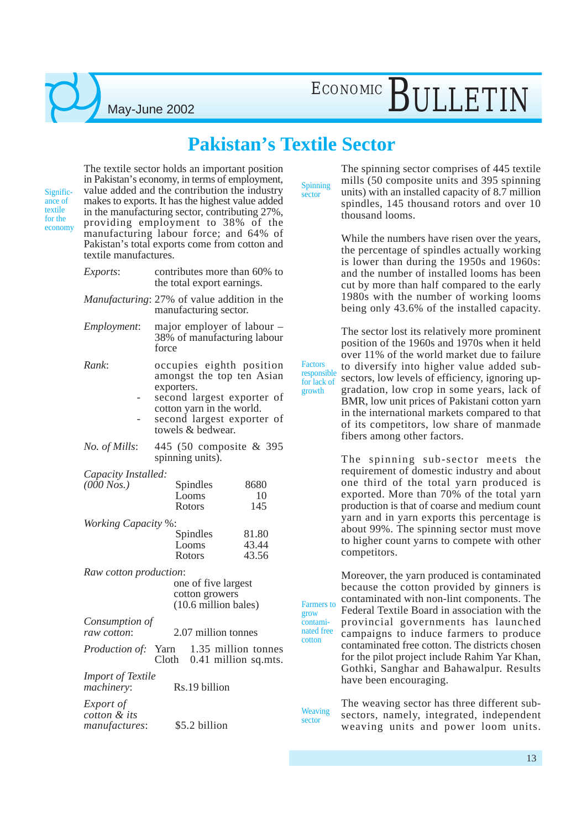### **Pakistan's Textile Sector**

Significance of textile for the economy

The textile sector holds an important position in Pakistan's economy, in terms of employment, value added and the contribution the industry makes to exports. It has the highest value added in the manufacturing sector, contributing 27%, providing employment to 38% of the manufacturing labour force; and 64% of Pakistan's total exports come from cotton and textile manufactures.

May-June 2002

| Exports:                                   | contributes more than 60% to<br>the total export earnings.                                                                                                                        |                   |  |  |  |
|--------------------------------------------|-----------------------------------------------------------------------------------------------------------------------------------------------------------------------------------|-------------------|--|--|--|
|                                            | Manufacturing: 27% of value addition in the<br>manufacturing sector.                                                                                                              |                   |  |  |  |
| Employment:                                | major employer of labour –<br>38% of manufacturing labour<br>force                                                                                                                |                   |  |  |  |
| Rank:                                      | occupies eighth position<br>amongst the top ten Asian<br>exporters.<br>second largest exporter of<br>cotton yarn in the world.<br>second largest exporter of<br>towels & bedwear. |                   |  |  |  |
| No. of Mills:                              | 445 (50 composite & 395<br>spinning units).                                                                                                                                       |                   |  |  |  |
| Capacity Installed:<br>$(000$ Nos.)        | Spindles<br>Looms<br>Rotors                                                                                                                                                       | 8680<br>10<br>145 |  |  |  |
| <b>Working Capacity %:</b>                 |                                                                                                                                                                                   |                   |  |  |  |
|                                            | Spindles<br>Looms                                                                                                                                                                 | 81.80<br>43.44    |  |  |  |
|                                            | Rotors                                                                                                                                                                            | 43.56             |  |  |  |
| Raw cotton production:                     |                                                                                                                                                                                   |                   |  |  |  |
|                                            | one of five largest                                                                                                                                                               |                   |  |  |  |
|                                            | cotton growers<br>(10.6 million bales)                                                                                                                                            |                   |  |  |  |
|                                            |                                                                                                                                                                                   |                   |  |  |  |
| Consumption of<br>raw cotton:              | 2.07 million tonnes                                                                                                                                                               |                   |  |  |  |
| Production of:                             | Yarn<br>1.35 million tonnes<br>Cloth 0.41 million sq.mts.                                                                                                                         |                   |  |  |  |
| <b>Import of Textile</b><br>machinery:     | Rs.19 billion                                                                                                                                                                     |                   |  |  |  |
| Export of<br>cotton & its<br>manufactures: | \$5.2 billion                                                                                                                                                                     |                   |  |  |  |

Spinning sector

Factors

for lack of growth

**Weaving** sector

grow contami-

cotton

The spinning sector comprises of 445 textile mills (50 composite units and 395 spinning units) with an installed capacity of 8.7 million spindles, 145 thousand rotors and over 10 thousand looms.

While the numbers have risen over the years, the percentage of spindles actually working is lower than during the 1950s and 1960s: and the number of installed looms has been cut by more than half compared to the early 1980s with the number of working looms being only 43.6% of the installed capacity.

The sector lost its relatively more prominent position of the 1960s and 1970s when it held over 11% of the world market due to failure to diversify into higher value added subsectors, low levels of efficiency, ignoring upgradation, low crop in some years, lack of BMR, low unit prices of Pakistani cotton yarn in the international markets compared to that of its competitors, low share of manmade fibers among other factors. responsible

> The spinning sub-sector meets the requirement of domestic industry and about one third of the total yarn produced is exported. More than 70% of the total yarn production is that of coarse and medium count yarn and in yarn exports this percentage is about 99%. The spinning sector must move to higher count yarns to compete with other competitors.

Moreover, the yarn produced is contaminated because the cotton provided by ginners is contaminated with non-lint components. The Federal Textile Board in association with the provincial governments has launched campaigns to induce farmers to produce contaminated free cotton. The districts chosen for the pilot project include Rahim Yar Khan, Gothki, Sanghar and Bahawalpur. Results have been encouraging. Farmers to nated free

> The weaving sector has three different subsectors, namely, integrated, independent weaving units and power loom units.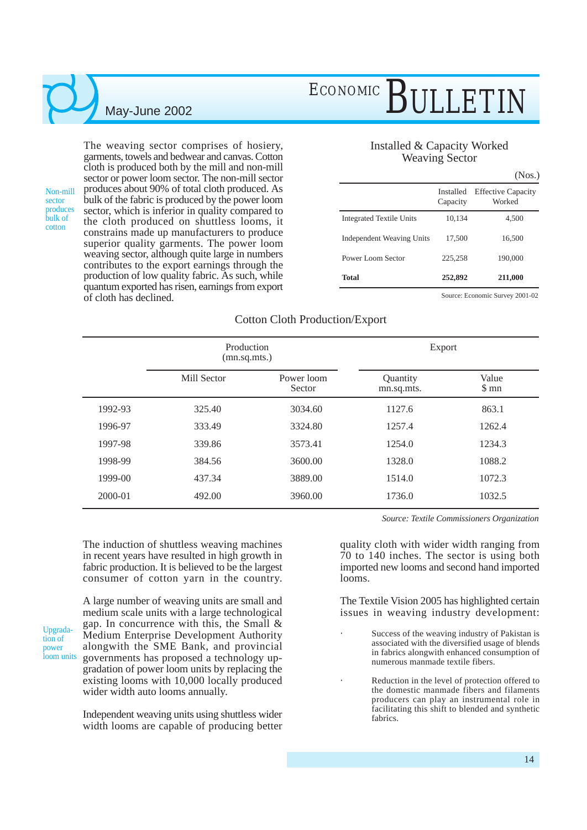Non-mill sector produces bulk of cotton

The weaving sector comprises of hosiery, garments, towels and bedwear and canvas. Cotton cloth is produced both by the mill and non-mill sector or power loom sector. The non-mill sector produces about 90% of total cloth produced. As bulk of the fabric is produced by the power loom sector, which is inferior in quality compared to the cloth produced on shuttless looms, it constrains made up manufacturers to produce superior quality garments. The power loom weaving sector, although quite large in numbers contributes to the export earnings through the production of low quality fabric. As such, while quantum exported has risen, earnings from export of cloth has declined.

## ECONOMIC BULLETIN

#### Installed & Capacity Worked Weaving Sector

|                                 |                       | (Nos.)                              |
|---------------------------------|-----------------------|-------------------------------------|
|                                 | Installed<br>Capacity | <b>Effective Capacity</b><br>Worked |
| <b>Integrated Textile Units</b> | 10,134                | 4,500                               |
| Independent Weaving Units       | 17,500                | 16,500                              |
| Power Loom Sector               | 225,258               | 190,000                             |
| <b>Total</b>                    | 252,892               | 211,000                             |

Source: Economic Survey 2001-02

#### Cotton Cloth Production/Export

|             | Production<br>(mn.sq.mts.) |                      | Export                 |                            |  |
|-------------|----------------------------|----------------------|------------------------|----------------------------|--|
|             | Mill Sector                | Power loom<br>Sector | Quantity<br>mn.sq.mts. | Value<br>$\mathfrak{S}$ mn |  |
| 1992-93     | 325.40                     | 3034.60              | 1127.6                 | 863.1                      |  |
| 1996-97     | 333.49                     | 3324.80              | 1257.4                 | 1262.4                     |  |
| 1997-98     | 339.86                     | 3573.41              | 1254.0                 | 1234.3                     |  |
| 1998-99     | 384.56                     | 3600.00              | 1328.0                 | 1088.2                     |  |
| $1999-00$   | 437.34                     | 3889.00              | 1514.0                 | 1072.3                     |  |
| $2000 - 01$ | 492.00                     | 3960.00              | 1736.0                 | 1032.5                     |  |

The induction of shuttless weaving machines in recent years have resulted in high growth in fabric production. It is believed to be the largest consumer of cotton yarn in the country.

Upgradation of power loom units

A large number of weaving units are small and medium scale units with a large technological gap. In concurrence with this, the Small & Medium Enterprise Development Authority alongwith the SME Bank, and provincial governments has proposed a technology upgradation of power loom units by replacing the existing looms with 10,000 locally produced wider width auto looms annually.

Independent weaving units using shuttless wider width looms are capable of producing better *Source: Textile Commissioners Organization*

quality cloth with wider width ranging from 70 to 140 inches. The sector is using both imported new looms and second hand imported looms.

The Textile Vision 2005 has highlighted certain issues in weaving industry development:

- Success of the weaving industry of Pakistan is associated with the diversified usage of blends in fabrics alongwith enhanced consumption of numerous manmade textile fibers.
- Reduction in the level of protection offered to the domestic manmade fibers and filaments producers can play an instrumental role in facilitating this shift to blended and synthetic fabrics.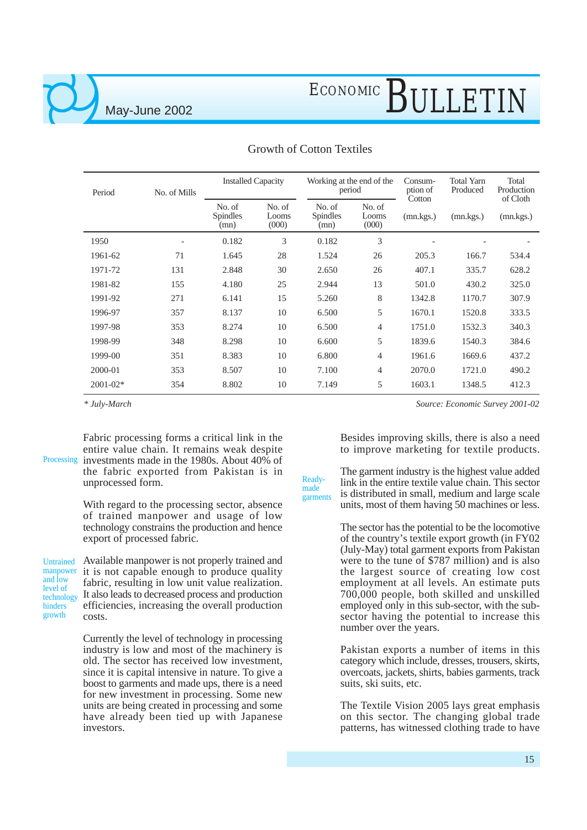## ECONOMIC BULLETIN

| Period       | No. of Mills | <b>Installed Capacity</b>  |                          | Working at the end of the<br>period |                          | Consum-<br>ption of<br>Cotton | <b>Total Yarn</b><br>Produced | Total<br>Production<br>of Cloth |
|--------------|--------------|----------------------------|--------------------------|-------------------------------------|--------------------------|-------------------------------|-------------------------------|---------------------------------|
|              |              | No. of<br>Spindles<br>(mn) | No. of<br>Looms<br>(000) | No. of<br><b>Spindles</b><br>(mn)   | No. of<br>Looms<br>(000) | (mn.kgs.)                     | (mn.kgs.)                     | (mn.kgs.)                       |
| 1950         |              | 0.182                      | 3                        | 0.182                               | 3                        |                               |                               |                                 |
| 1961-62      | 71           | 1.645                      | 28                       | 1.524                               | 26                       | 205.3                         | 166.7                         | 534.4                           |
| 1971-72      | 131          | 2.848                      | 30                       | 2.650                               | 26                       | 407.1                         | 335.7                         | 628.2                           |
| 1981-82      | 155          | 4.180                      | 25                       | 2.944                               | 13                       | 501.0                         | 430.2                         | 325.0                           |
| 1991-92      | 271          | 6.141                      | 15                       | 5.260                               | 8                        | 1342.8                        | 1170.7                        | 307.9                           |
| 1996-97      | 357          | 8.137                      | 10                       | 6.500                               | 5                        | 1670.1                        | 1520.8                        | 333.5                           |
| 1997-98      | 353          | 8.274                      | 10                       | 6.500                               | $\overline{4}$           | 1751.0                        | 1532.3                        | 340.3                           |
| 1998-99      | 348          | 8.298                      | 10                       | 6.600                               | 5                        | 1839.6                        | 1540.3                        | 384.6                           |
| 1999-00      | 351          | 8.383                      | 10                       | 6.800                               | $\overline{4}$           | 1961.6                        | 1669.6                        | 437.2                           |
| 2000-01      | 353          | 8.507                      | 10                       | 7.100                               | $\overline{4}$           | 2070.0                        | 1721.0                        | 490.2                           |
| $2001 - 02*$ | 354          | 8.802                      | 10                       | 7.149                               | 5                        | 1603.1                        | 1348.5                        | 412.3                           |

made

#### Growth of Cotton Textiles

*\* July-March*

Fabric processing forms a critical link in the entire value chain. It remains weak despite Processing investments made in the 1980s. About 40% of the fabric exported from Pakistan is in unprocessed form.

> With regard to the processing sector, absence of trained manpower and usage of low technology constrains the production and hence export of processed fabric.

Untrained manpower and low level of technology hinders growth

Available manpower is not properly trained and it is not capable enough to produce quality fabric, resulting in low unit value realization. It also leads to decreased process and production efficiencies, increasing the overall production costs.

Currently the level of technology in processing industry is low and most of the machinery is old. The sector has received low investment, since it is capital intensive in nature. To give a boost to garments and made ups, there is a need for new investment in processing. Some new units are being created in processing and some have already been tied up with Japanese investors.

*Source: Economic Survey 2001-02*

Besides improving skills, there is also a need to improve marketing for textile products.

The garment industry is the highest value added link in the entire textile value chain. This sector is distributed in small, medium and large scale units, most of them having 50 machines or less. Readygarments

> The sector has the potential to be the locomotive of the country's textile export growth (in FY02 (July-May) total garment exports from Pakistan were to the tune of \$787 million) and is also the largest source of creating low cost employment at all levels. An estimate puts 700,000 people, both skilled and unskilled employed only in this sub-sector, with the subsector having the potential to increase this number over the years.

> Pakistan exports a number of items in this category which include, dresses, trousers, skirts, overcoats, jackets, shirts, babies garments, track suits, ski suits, etc.

> The Textile Vision 2005 lays great emphasis on this sector. The changing global trade patterns, has witnessed clothing trade to have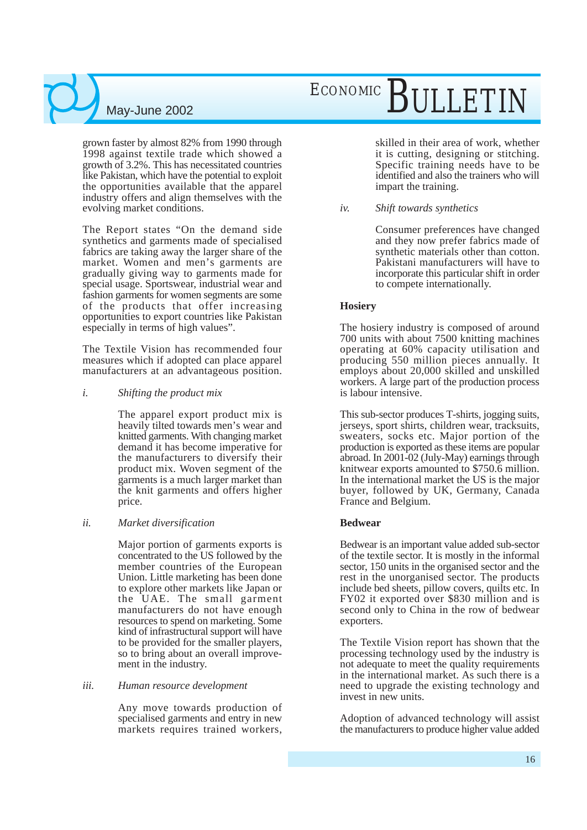## ECONOMIC BULLETIN

grown faster by almost 82% from 1990 through 1998 against textile trade which showed a growth of 3.2%. This has necessitated countries like Pakistan, which have the potential to exploit the opportunities available that the apparel industry offers and align themselves with the evolving market conditions.

The Report states "On the demand side synthetics and garments made of specialised fabrics are taking away the larger share of the market. Women and men's garments are gradually giving way to garments made for special usage. Sportswear, industrial wear and fashion garments for women segments are some of the products that offer increasing opportunities to export countries like Pakistan especially in terms of high values".

The Textile Vision has recommended four measures which if adopted can place apparel manufacturers at an advantageous position.

#### *i. Shifting the product mix*

The apparel export product mix is heavily tilted towards men's wear and knitted garments. With changing market demand it has become imperative for the manufacturers to diversify their product mix. Woven segment of the garments is a much larger market than the knit garments and offers higher price.

#### *ii. Market diversification*

Major portion of garments exports is concentrated to the US followed by the member countries of the European Union. Little marketing has been done to explore other markets like Japan or the UAE. The small garment manufacturers do not have enough resources to spend on marketing. Some kind of infrastructural support will have to be provided for the smaller players, so to bring about an overall improvement in the industry.

#### *iii. Human resource development*

Any move towards production of specialised garments and entry in new markets requires trained workers, skilled in their area of work, whether it is cutting, designing or stitching. Specific training needs have to be identified and also the trainers who will impart the training.

#### *iv. Shift towards synthetics*

Consumer preferences have changed and they now prefer fabrics made of synthetic materials other than cotton. Pakistani manufacturers will have to incorporate this particular shift in order to compete internationally.

#### **Hosiery**

The hosiery industry is composed of around 700 units with about 7500 knitting machines operating at 60% capacity utilisation and producing 550 million pieces annually. It employs about 20,000 skilled and unskilled workers. A large part of the production process is labour intensive.

This sub-sector produces T-shirts, jogging suits, jerseys, sport shirts, children wear, tracksuits, sweaters, socks etc. Major portion of the production is exported as these items are popular abroad. In 2001-02 (July-May) earnings through knitwear exports amounted to \$750.6 million. In the international market the US is the major buyer, followed by UK, Germany, Canada France and Belgium.

#### **Bedwear**

Bedwear is an important value added sub-sector of the textile sector. It is mostly in the informal sector, 150 units in the organised sector and the rest in the unorganised sector. The products include bed sheets, pillow covers, quilts etc. In FY02 it exported over \$830 million and is second only to China in the row of bedwear exporters.

The Textile Vision report has shown that the processing technology used by the industry is not adequate to meet the quality requirements in the international market. As such there is a need to upgrade the existing technology and invest in new units.

Adoption of advanced technology will assist the manufacturers to produce higher value added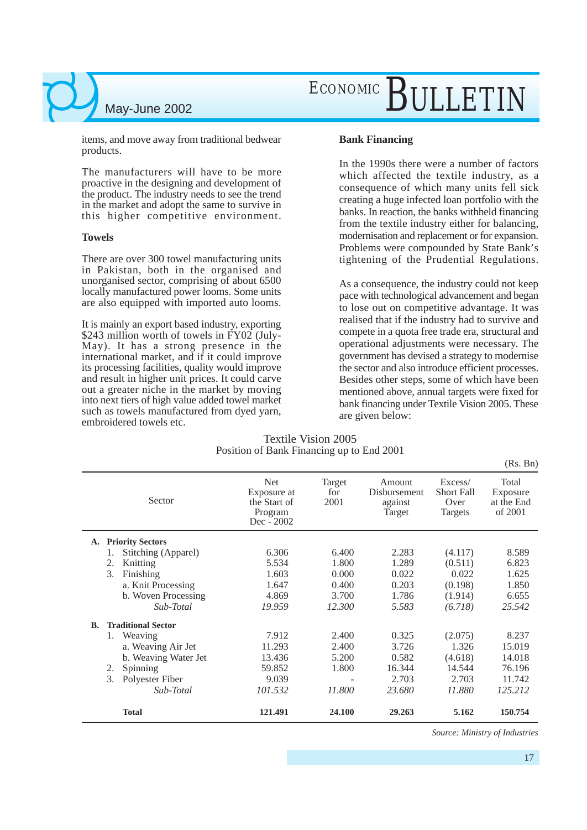## ECONOMIC BULLETIN

items, and move away from traditional bedwear products.

The manufacturers will have to be more proactive in the designing and development of the product. The industry needs to see the trend in the market and adopt the same to survive in this higher competitive environment.

#### **Towels**

There are over 300 towel manufacturing units in Pakistan, both in the organised and unorganised sector, comprising of about 6500 locally manufactured power looms. Some units are also equipped with imported auto looms.

It is mainly an export based industry, exporting \$243 million worth of towels in FY02 (July-May). It has a strong presence in the international market, and if it could improve its processing facilities, quality would improve and result in higher unit prices. It could carve out a greater niche in the market by moving into next tiers of high value added towel market such as towels manufactured from dyed yarn, embroidered towels etc.

#### **Bank Financing**

In the 1990s there were a number of factors which affected the textile industry, as a consequence of which many units fell sick creating a huge infected loan portfolio with the banks. In reaction, the banks withheld financing from the textile industry either for balancing, modernisation and replacement or for expansion. Problems were compounded by State Bank's tightening of the Prudential Regulations.

As a consequence, the industry could not keep pace with technological advancement and began to lose out on competitive advantage. It was realised that if the industry had to survive and compete in a quota free trade era, structural and operational adjustments were necessary. The government has devised a strategy to modernise the sector and also introduce efficient processes. Besides other steps, some of which have been mentioned above, annual targets were fixed for bank financing under Textile Vision 2005. These are given below:

#### Textile Vision 2005 Position of Bank Financing up to End 2001

**A. Priority Sectors** 1. Stitching (Apparel) 6.306 6.400 2.283 (4.117) 8.589 2. Knitting 5.534 1.800 1.289 (0.511) 6.823 3. Finishing 1.603 0.000 0.022 0.022 1.625 a. Knit Processing 1.647 0.400 0.203 (0.198) 1.850 b. Woven Processing 4.869 3.700 1.786 (1.914) 6.655 *Sub-Total 19.959 12.300 5.583 (6.718) 25.542* Total Exposure at the End of 2001 Excess/ Short Fall Over Targets Amount Disbursement against Target Target for 2001 Net Exposure at the Start of Program Dec - 2002 Sector **B. Traditional Sector** 1. Weaving 2.912 2.400 0.325 (2.075) 8.237 a. Weaving Air Jet 11.293 2.400 3.726 1.326 15.019 b. Weaving Water Jet 13.436 5.200 0.582 (4.618) 14.018 2. Spinning 59.852 1.800 16.344 14.544 76.196 3. Polyester Fiber 9.039 - 2.703 2.703 11.742<br>Sub-Total 101.532 11.800 23.680 11.880 125.212 *Sub-Total 101.532 11.800 23.680 11.880 125.212* **Total 121.491 24.100 29.263 5.162 150.754** (Rs. Bn)

*Source: Ministry of Industries*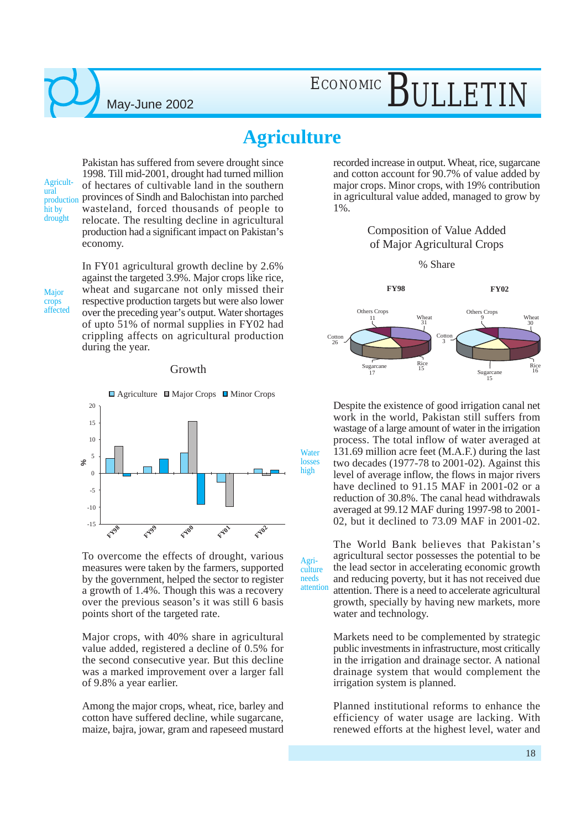## ECONOMIC BULLETIN

### **Agriculture**

Agri-

needs

Agricultural production hit by drought

Pakistan has suffered from severe drought since 1998. Till mid-2001, drought had turned million of hectares of cultivable land in the southern provinces of Sindh and Balochistan into parched wasteland, forced thousands of people to relocate. The resulting decline in agricultural production had a significant impact on Pakistan's economy.

In FY01 agricultural growth decline by 2.6% against the targeted 3.9%. Major crops like rice, wheat and sugarcane not only missed their respective production targets but were also lower over the preceding year's output. Water shortages of upto 51% of normal supplies in FY02 had crippling affects on agricultural production during the year.

#### Growth



To overcome the effects of drought, various measures were taken by the farmers, supported by the government, helped the sector to register a growth of 1.4%. Though this was a recovery over the previous season's it was still 6 basis points short of the targeted rate.

Major crops, with 40% share in agricultural value added, registered a decline of 0.5% for the second consecutive year. But this decline was a marked improvement over a larger fall of 9.8% a year earlier.

Among the major crops, wheat, rice, barley and cotton have suffered decline, while sugarcane, maize, bajra, jowar, gram and rapeseed mustard

recorded increase in output. Wheat, rice, sugarcane and cotton account for 90.7% of value added by major crops. Minor crops, with 19% contribution in agricultural value added, managed to grow by 1%.

#### Composition of Value Added of Major Agricultural Crops

% Share



Despite the existence of good irrigation canal net work in the world, Pakistan still suffers from wastage of a large amount of water in the irrigation process. The total inflow of water averaged at 131.69 million acre feet (M.A.F.) during the last two decades (1977-78 to 2001-02). Against this level of average inflow, the flows in major rivers have declined to 91.15 MAF in 2001-02 or a reduction of 30.8%. The canal head withdrawals averaged at 99.12 MAF during 1997-98 to 2001- 02, but it declined to 73.09 MAF in 2001-02.

culture attention The World Bank believes that Pakistan's agricultural sector possesses the potential to be the lead sector in accelerating economic growth and reducing poverty, but it has not received due attention. There is a need to accelerate agricultural growth, specially by having new markets, more water and technology.

> Markets need to be complemented by strategic public investments in infrastructure, most critically in the irrigation and drainage sector. A national drainage system that would complement the irrigation system is planned.

> Planned institutional reforms to enhance the efficiency of water usage are lacking. With renewed efforts at the highest level, water and

crops affected

Major

18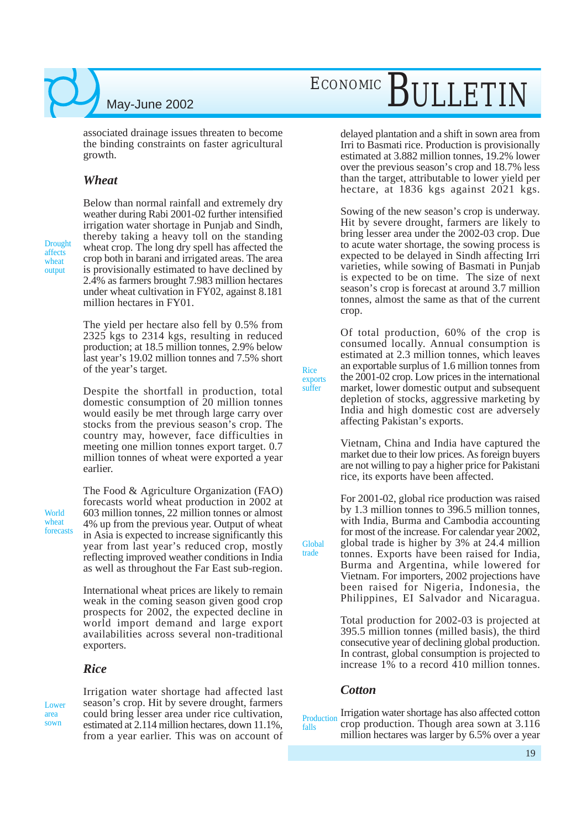associated drainage issues threaten to become the binding constraints on faster agricultural growth.

#### *Wheat*

Drought affects wheat output

Below than normal rainfall and extremely dry weather during Rabi 2001-02 further intensified irrigation water shortage in Punjab and Sindh, thereby taking a heavy toll on the standing wheat crop. The long dry spell has affected the crop both in barani and irrigated areas. The area is provisionally estimated to have declined by 2.4% as farmers brought 7.983 million hectares under wheat cultivation in FY02, against 8.181 million hectares in FY01.

The yield per hectare also fell by 0.5% from 2325 kgs to 2314 kgs, resulting in reduced production; at 18.5 million tonnes, 2.9% below last year's 19.02 million tonnes and 7.5% short of the year's target.

Despite the shortfall in production, total domestic consumption of 20 million tonnes would easily be met through large carry over stocks from the previous season's crop. The country may, however, face difficulties in meeting one million tonnes export target. 0.7 million tonnes of wheat were exported a year earlier.

World wheat forecasts

The Food & Agriculture Organization (FAO) forecasts world wheat production in 2002 at 603 million tonnes, 22 million tonnes or almost 4% up from the previous year. Output of wheat in Asia is expected to increase significantly this year from last year's reduced crop, mostly reflecting improved weather conditions in India as well as throughout the Far East sub-region.

International wheat prices are likely to remain weak in the coming season given good crop prospects for 2002, the expected decline in world import demand and large export availabilities across several non-traditional exporters.

#### *Rice*

**Lower** area sown

Irrigation water shortage had affected last season's crop. Hit by severe drought, farmers could bring lesser area under rice cultivation, estimated at 2.114 million hectares, down 11.1%, from a year earlier. This was on account of

# ECONOMIC BULLETIN

delayed plantation and a shift in sown area from Irri to Basmati rice. Production is provisionally estimated at 3.882 million tonnes, 19.2% lower over the previous season's crop and 18.7% less than the target, attributable to lower yield per hectare, at 1836 kgs against 2021 kgs.

Sowing of the new season's crop is underway. Hit by severe drought, farmers are likely to bring lesser area under the 2002-03 crop. Due to acute water shortage, the sowing process is expected to be delayed in Sindh affecting Irri varieties, while sowing of Basmati in Punjab is expected to be on time. The size of next season's crop is forecast at around 3.7 million tonnes, almost the same as that of the current crop.

Of total production, 60% of the crop is consumed locally. Annual consumption is estimated at 2.3 million tonnes, which leaves an exportable surplus of 1.6 million tonnes from the 2001-02 crop. Low prices in the international market, lower domestic output and subsequent depletion of stocks, aggressive marketing by India and high domestic cost are adversely affecting Pakistan's exports.

Vietnam, China and India have captured the market due to their low prices. As foreign buyers are not willing to pay a higher price for Pakistani rice, its exports have been affected.

For 2001-02, global rice production was raised by 1.3 million tonnes to 396.5 million tonnes, with India, Burma and Cambodia accounting for most of the increase. For calendar year 2002, global trade is higher by 3% at 24.4 million tonnes. Exports have been raised for India, Burma and Argentina, while lowered for Vietnam. For importers, 2002 projections have been raised for Nigeria, Indonesia, the Philippines, EI Salvador and Nicaragua.

Total production for 2002-03 is projected at 395.5 million tonnes (milled basis), the third consecutive year of declining global production. In contrast, global consumption is projected to increase 1% to a record 410 million tonnes.

#### *Cotton*

Rice exports suffer

Global trade

Irrigation water shortage has also affected cotton crop production. Though area sown at 3.116 million hectares was larger by 6.5% over a year Production falls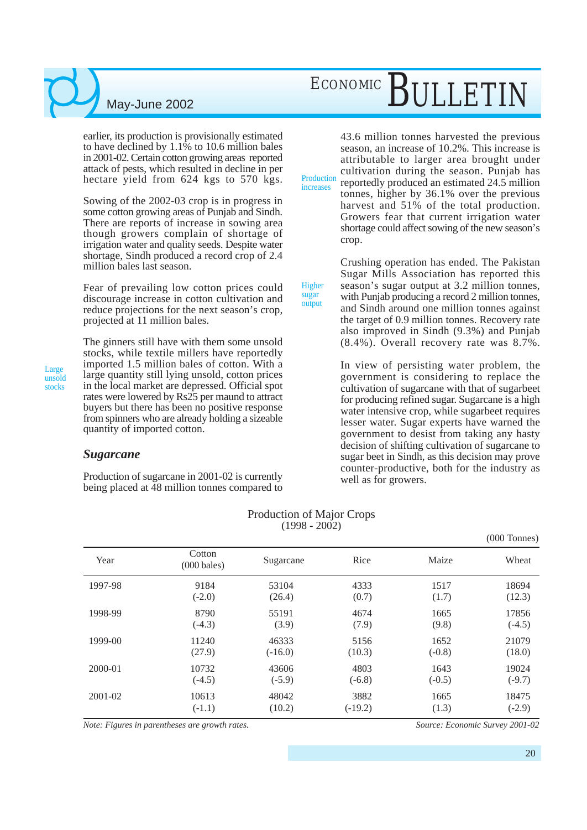earlier, its production is provisionally estimated to have declined by 1.1% to 10.6 million bales in 2001-02. Certain cotton growing areas reported attack of pests, which resulted in decline in per hectare yield from 624 kgs to 570 kgs.

Sowing of the 2002-03 crop is in progress in some cotton growing areas of Punjab and Sindh. There are reports of increase in sowing area though growers complain of shortage of irrigation water and quality seeds. Despite water shortage, Sindh produced a record crop of 2.4 million bales last season.

Fear of prevailing low cotton prices could discourage increase in cotton cultivation and reduce projections for the next season's crop, projected at 11 million bales.

Large unsold stocks

The ginners still have with them some unsold stocks, while textile millers have reportedly imported 1.5 million bales of cotton. With a large quantity still lying unsold, cotton prices in the local market are depressed. Official spot rates were lowered by Rs25 per maund to attract buyers but there has been no positive response from spinners who are already holding a sizeable quantity of imported cotton.

#### *Sugarcane*

Production of sugarcane in 2001-02 is currently being placed at 48 million tonnes compared to

43.6 million tonnes harvested the previous season, an increase of 10.2%. This increase is attributable to larger area brought under cultivation during the season. Punjab has reportedly produced an estimated 24.5 million tonnes, higher by 36.1% over the previous harvest and 51% of the total production. Growers fear that current irrigation water shortage could affect sowing of the new season's crop. Production increases

> Crushing operation has ended. The Pakistan Sugar Mills Association has reported this season's sugar output at 3.2 million tonnes, with Punjab producing a record 2 million tonnes, and Sindh around one million tonnes against the target of 0.9 million tonnes. Recovery rate also improved in Sindh (9.3%) and Punjab (8.4%). Overall recovery rate was 8.7%.

In view of persisting water problem, the government is considering to replace the cultivation of sugarcane with that of sugarbeet for producing refined sugar. Sugarcane is a high water intensive crop, while sugarbeet requires lesser water. Sugar experts have warned the government to desist from taking any hasty decision of shifting cultivation of sugarcane to sugar beet in Sindh, as this decision may prove counter-productive, both for the industry as well as for growers.

|         |                                 |           |           |          | $(000$ Tonnes) |
|---------|---------------------------------|-----------|-----------|----------|----------------|
| Year    | Cotton<br>$(000 \text{ bales})$ | Sugarcane | Rice      | Maize    | Wheat          |
| 1997-98 | 9184                            | 53104     | 4333      | 1517     | 18694          |
|         | $(-2.0)$                        | (26.4)    | (0.7)     | (1.7)    | (12.3)         |
| 1998-99 | 8790                            | 55191     | 4674      | 1665     | 17856          |
|         | $(-4.3)$                        | (3.9)     | (7.9)     | (9.8)    | $(-4.5)$       |
| 1999-00 | 11240                           | 46333     | 5156      | 1652     | 21079          |
|         | (27.9)                          | $(-16.0)$ | (10.3)    | $(-0.8)$ | (18.0)         |
| 2000-01 | 10732                           | 43606     | 4803      | 1643     | 19024          |
|         | $(-4.5)$                        | $(-5.9)$  | $(-6.8)$  | $(-0.5)$ | $(-9.7)$       |
| 2001-02 | 10613                           | 48042     | 3882      | 1665     | 18475          |
|         | $(-1.1)$                        | (10.2)    | $(-19.2)$ | (1.3)    | $(-2.9)$       |

#### Production of Major Crops  $(1998 - 2002)$

Higher sugar output

*Note: Figures in parentheses are growth rates. Source: Economic Survey 2001-02*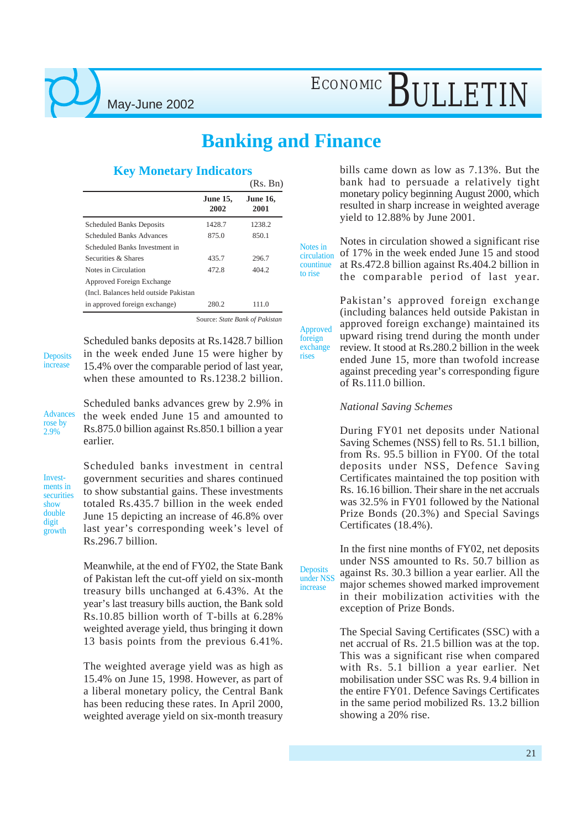### **Banking and Finance**

foreign exchange rises

**Deposits** under NSS increase

#### **Key Monetary Indicators**

|                                       |                         | (Rs. Bn)                |
|---------------------------------------|-------------------------|-------------------------|
|                                       | <b>June 15,</b><br>2002 | <b>June 16,</b><br>2001 |
| <b>Scheduled Banks Deposits</b>       | 1428.7                  | 1238.2                  |
| <b>Scheduled Banks Advances</b>       | 875.0                   | 850.1                   |
| Scheduled Banks Investment in         |                         |                         |
| Securities & Shares                   | 435.7                   | 296.7                   |
| Notes in Circulation                  | 472.8                   | 404.2                   |
| Approved Foreign Exchange             |                         |                         |
| (Incl. Balances held outside Pakistan |                         |                         |
| in approved foreign exchange)         | 280.2                   | 111.0                   |

Source: *State Bank of Pakistan*

**Deposits** increase

Scheduled banks deposits at Rs.1428.7 billion in the week ended June 15 were higher by 15.4% over the comparable period of last year, when these amounted to Rs.1238.2 billion.

Advances rose by 2.9%

Scheduled banks advances grew by 2.9% in the week ended June 15 and amounted to Rs.875.0 billion against Rs.850.1 billion a year earlier.

Investments in securities show double digit growth

Scheduled banks investment in central government securities and shares continued to show substantial gains. These investments totaled Rs.435.7 billion in the week ended June 15 depicting an increase of 46.8% over last year's corresponding week's level of Rs.296.7 billion.

Meanwhile, at the end of FY02, the State Bank of Pakistan left the cut-off yield on six-month treasury bills unchanged at 6.43%. At the year's last treasury bills auction, the Bank sold Rs.10.85 billion worth of T-bills at 6.28% weighted average yield, thus bringing it down 13 basis points from the previous 6.41%.

The weighted average yield was as high as 15.4% on June 15, 1998. However, as part of a liberal monetary policy, the Central Bank has been reducing these rates. In April 2000, weighted average yield on six-month treasury

bills came down as low as 7.13%. But the bank had to persuade a relatively tight monetary policy beginning August 2000, which resulted in sharp increase in weighted average yield to 12.88% by June 2001.

Notes in circulation showed a significant rise of 17% in the week ended June 15 and stood at Rs.472.8 billion against Rs.404.2 billion in the comparable period of last year. Notes in circulation countinue to rise

Pakistan's approved foreign exchange (including balances held outside Pakistan in approved foreign exchange) maintained its upward rising trend during the month under review. It stood at Rs.280.2 billion in the week ended June 15, more than twofold increase against preceding year's corresponding figure of Rs.111.0 billion. Approved

#### *National Saving Schemes*

During FY01 net deposits under National Saving Schemes (NSS) fell to Rs. 51.1 billion, from Rs. 95.5 billion in FY00. Of the total deposits under NSS, Defence Saving Certificates maintained the top position with Rs. 16.16 billion. Their share in the net accruals was 32.5% in FY01 followed by the National Prize Bonds (20.3%) and Special Savings Certificates (18.4%).

In the first nine months of FY02, net deposits under NSS amounted to Rs. 50.7 billion as against Rs. 30.3 billion a year earlier. All the major schemes showed marked improvement in their mobilization activities with the exception of Prize Bonds.

The Special Saving Certificates (SSC) with a net accrual of Rs. 21.5 billion was at the top. This was a significant rise when compared with Rs. 5.1 billion a year earlier. Net mobilisation under SSC was Rs. 9.4 billion in the entire FY01. Defence Savings Certificates in the same period mobilized Rs. 13.2 billion showing a 20% rise.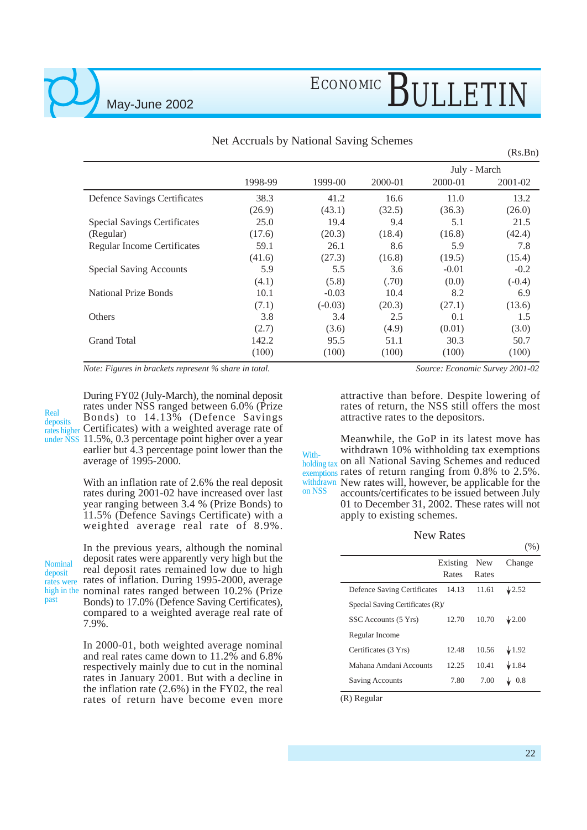May-June 2002

|                                     |         |           |         |              | (Rs.Bn)  |
|-------------------------------------|---------|-----------|---------|--------------|----------|
|                                     |         |           |         | July - March |          |
|                                     | 1998-99 | 1999-00   | 2000-01 | 2000-01      | 2001-02  |
| Defence Savings Certificates        | 38.3    | 41.2      | 16.6    | 11.0         | 13.2     |
|                                     | (26.9)  | (43.1)    | (32.5)  | (36.3)       | (26.0)   |
| <b>Special Savings Certificates</b> | 25.0    | 19.4      | 9.4     | 5.1          | 21.5     |
| (Regular)                           | (17.6)  | (20.3)    | (18.4)  | (16.8)       | (42.4)   |
| <b>Regular Income Certificates</b>  | 59.1    | 26.1      | 8.6     | 5.9          | 7.8      |
|                                     | (41.6)  | (27.3)    | (16.8)  | (19.5)       | (15.4)   |
| <b>Special Saving Accounts</b>      | 5.9     | 5.5       | 3.6     | $-0.01$      | $-0.2$   |
|                                     | (4.1)   | (5.8)     | (.70)   | (0.0)        | $(-0.4)$ |
| <b>National Prize Bonds</b>         | 10.1    | $-0.03$   | 10.4    | 8.2          | 6.9      |
|                                     | (7.1)   | $(-0.03)$ | (20.3)  | (27.1)       | (13.6)   |
| Others                              | 3.8     | 3.4       | 2.5     | 0.1          | 1.5      |
|                                     | (2.7)   | (3.6)     | (4.9)   | (0.01)       | (3.0)    |
| <b>Grand Total</b>                  | 142.2   | 95.5      | 51.1    | 30.3         | 50.7     |
|                                     | (100)   | (100)     | (100)   | (100)        | (100)    |

Net Accruals by National Saving Schemes

*Note: Figures in brackets represent % share in total.*

During FY02 (July-March), the nominal deposit rates under NSS ranged between 6.0% (Prize Bonds) to 14.13% (Defence Savings rates higher Certificates) with a weighted average rate of under NSS 11.5%, 0.3 percentage point higher over a year earlier but 4.3 percentage point lower than the average of 1995-2000. Real deposits

> With an inflation rate of 2.6% the real deposit rates during 2001-02 have increased over last year ranging between 3.4 % (Prize Bonds) to 11.5% (Defence Savings Certificate) with a weighted average real rate of 8.9%.

Nominal deposit past

In the previous years, although the nominal deposit rates were apparently very high but the real deposit rates remained low due to high rates were rates of inflation. During 1995-2000, average high in the nominal rates ranged between 10.2% (Prize Bonds) to 17.0% (Defence Saving Certificates), compared to a weighted average real rate of 7.9%.

> In 2000-01, both weighted average nominal and real rates came down to 11.2% and 6.8% respectively mainly due to cut in the nominal rates in January 2001. But with a decline in the inflation rate (2.6%) in the FY02, the real rates of return have become even more

*Source: Economic Survey 2001-02*

attractive than before. Despite lowering of rates of return, the NSS still offers the most attractive rates to the depositors.

Meanwhile, the GoP in its latest move has withdrawn 10% withholding tax exemptions With-<br>holding tax On all National Saving Schemes and reduced exemptions rates of return ranging from  $0.8\%$  to  $2.5\%$ . withdrawn New rates will, however, be applicable for the accounts/certificates to be issued between July 01 to December 31, 2002. These rates will not apply to existing schemes. holding tax on NSS

#### New Rates

|                                    |          |            | (90)          |
|------------------------------------|----------|------------|---------------|
|                                    | Existing | <b>New</b> | Change        |
|                                    | Rates    | Rates      |               |
| <b>Defence Saving Certificates</b> | 14.13    | 11.61      | $\sqrt{2.52}$ |
| Special Saving Certificates (R)/   |          |            |               |
| SSC Accounts (5 Yrs)               | 12.70    | 10.70      | $\sqrt{2.00}$ |
| Regular Income                     |          |            |               |
| Certificates (3 Yrs)               | 12.48    | 10.56      | $\sqrt{1.92}$ |
| Mahana Amdani Accounts             | 12.25    | 10.41      | $\sqrt{1.84}$ |
| Saving Accounts                    | 7.80     | 7.00       | 0.8           |
|                                    |          |            |               |

(R) Regular

 $(0)$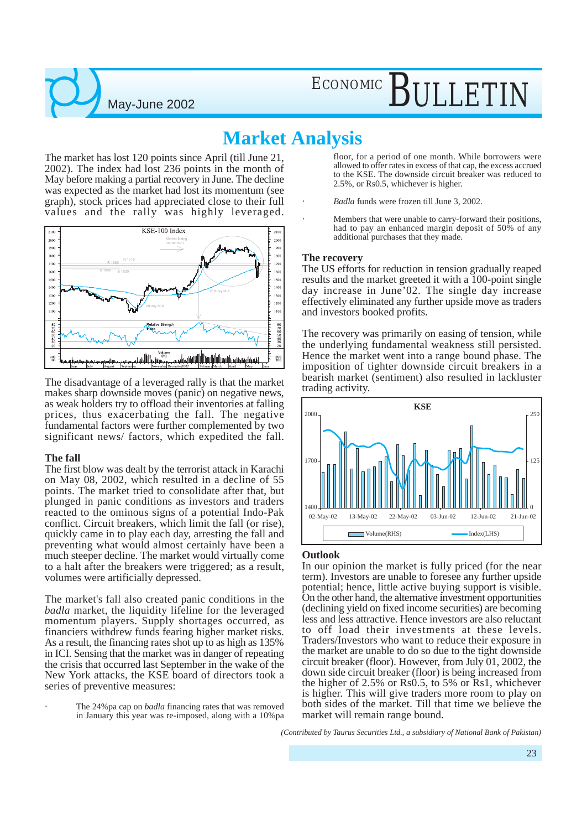### **Market Analysis**

The market has lost 120 points since April (till June 21, 2002). The index had lost 236 points in the month of May before making a partial recovery in June. The decline was expected as the market had lost its momentum (see graph), stock prices had appreciated close to their full values and the rally was highly leveraged.

May-June 2002



The disadvantage of a leveraged rally is that the market makes sharp downside moves (panic) on negative news, as weak holders try to offload their inventories at falling prices, thus exacerbating the fall. The negative fundamental factors were further complemented by two significant news/ factors, which expedited the fall.

#### **The fall**

The first blow was dealt by the terrorist attack in Karachi on May 08, 2002, which resulted in a decline of 55 points. The market tried to consolidate after that, but plunged in panic conditions as investors and traders reacted to the ominous signs of a potential Indo-Pak conflict. Circuit breakers, which limit the fall (or rise), quickly came in to play each day, arresting the fall and preventing what would almost certainly have been a much steeper decline. The market would virtually come to a halt after the breakers were triggered; as a result, volumes were artificially depressed.

The market's fall also created panic conditions in the *badla* market, the liquidity lifeline for the leveraged momentum players. Supply shortages occurred, as financiers withdrew funds fearing higher market risks. As a result, the financing rates shot up to as high as 135% in ICI. Sensing that the market was in danger of repeating the crisis that occurred last September in the wake of the New York attacks, the KSE board of directors took a series of preventive measures:

The 24%pa cap on *badla* financing rates that was removed in January this year was re-imposed, along with a 10%pa

floor, for a period of one month. While borrowers were allowed to offer rates in excess of that cap, the excess accrued to the KSE. The downside circuit breaker was reduced to 2.5%, or Rs0.5, whichever is higher.

- *Badla* funds were frozen till June 3, 2002.
- Members that were unable to carry-forward their positions, had to pay an enhanced margin deposit of 50% of any additional purchases that they made.

#### **The recovery**

The US efforts for reduction in tension gradually reaped results and the market greeted it with a 100-point single day increase in June'02. The single day increase effectively eliminated any further upside move as traders and investors booked profits.

The recovery was primarily on easing of tension, while the underlying fundamental weakness still persisted. Hence the market went into a range bound phase. The imposition of tighter downside circuit breakers in a bearish market (sentiment) also resulted in lackluster trading activity.



#### **Outlook**

In our opinion the market is fully priced (for the near term). Investors are unable to foresee any further upside potential; hence, little active buying support is visible. On the other hand, the alternative investment opportunities (declining yield on fixed income securities) are becoming less and less attractive. Hence investors are also reluctant to off load their investments at these levels. Traders/Investors who want to reduce their exposure in the market are unable to do so due to the tight downside circuit breaker (floor). However, from July 01, 2002, the down side circuit breaker (floor) is being increased from the higher of 2.5% or Rs0.5, to 5% or Rs1, whichever is higher. This will give traders more room to play on both sides of the market. Till that time we believe the market will remain range bound.

*(Contributed by Taurus Securities Ltd., a subsidiary of National Bank of Pakistan)*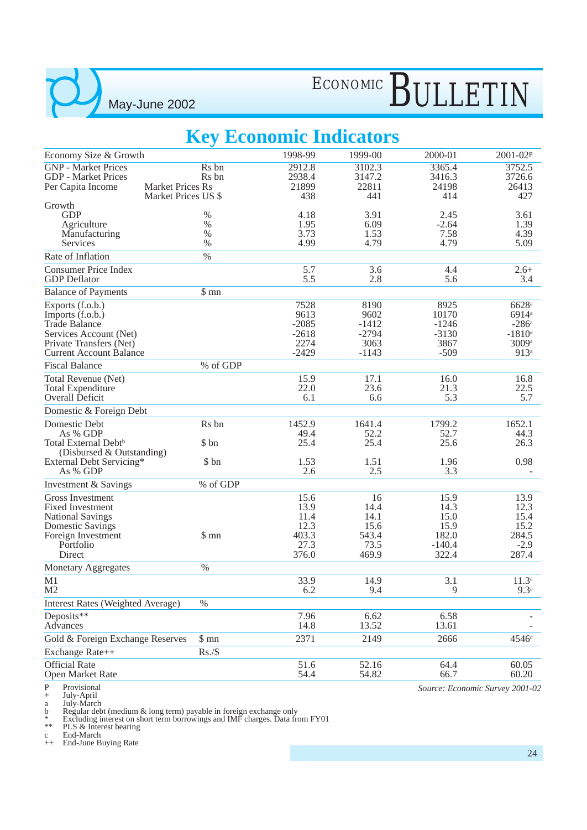# ECONOMIC BULLETIN

### **Key Economic Indicators**

|                                                       | ັ                                              |                    |                 |                    |                                 |
|-------------------------------------------------------|------------------------------------------------|--------------------|-----------------|--------------------|---------------------------------|
| Economy Size & Growth                                 |                                                | 1998-99            | 1999-00         | 2000-01            | 2001-02P                        |
| <b>GNP</b> - Market Prices                            | Rs bn                                          | 2912.8             | 3102.3          | 3365.4             | 3752.5                          |
| <b>GDP</b> - Market Prices                            | R <sub>s</sub> bn                              | 2938.4             | 3147.2          | 3416.3             | 3726.6<br>26413                 |
| Per Capita Income                                     | <b>Market Prices Rs</b><br>Market Prices US \$ | 21899<br>438       | 22811<br>441    | 24198<br>414       | 427                             |
| Growth                                                |                                                |                    |                 |                    |                                 |
| <b>GDP</b>                                            | %                                              | 4.18               | 3.91            | 2.45               | 3.61                            |
| Agriculture                                           | $\%$                                           | 1.95               | 6.09            | $-2.64$            | 1.39                            |
| Manufacturing                                         | $\%$                                           | 3.73               | 1.53            | 7.58               | 4.39                            |
| Services<br>Rate of Inflation                         | $\%$<br>$\%$                                   | 4.99               | 4.79            | 4.79               | 5.09                            |
|                                                       |                                                |                    |                 |                    |                                 |
| <b>Consumer Price Index</b><br><b>GDP</b> Deflator    |                                                | 5.7<br>5.5         | 3.6<br>2.8      | 4.4<br>5.6         | $2.6+$<br>3.4                   |
| <b>Balance of Payments</b>                            | \$mn                                           |                    |                 |                    |                                 |
| Exports (f.o.b.)                                      |                                                | 7528               | 8190            | 8925               | 6628 <sup>a</sup>               |
| Imports (f.o.b.)                                      |                                                | 9613               | 9602            | 10170              | 6914 <sup>a</sup>               |
| <b>Trade Balance</b>                                  |                                                | $-2085$<br>$-2618$ | $-1412$         | $-1246$<br>$-3130$ | $-286$ <sup>a</sup>             |
| Services Account (Net)<br>Private Transfers (Net)     |                                                | 2274               | $-2794$<br>3063 | 3867               | $-1810^a$<br>3009 <sup>a</sup>  |
| <b>Current Account Balance</b>                        |                                                | $-2429$            | $-1143$         | $-509$             | 913 <sup>a</sup>                |
| <b>Fiscal Balance</b>                                 | % of GDP                                       |                    |                 |                    |                                 |
| Total Revenue (Net)                                   |                                                | 15.9               | 17.1            | 16.0               | 16.8                            |
| <b>Total Expenditure</b>                              |                                                | 22.0               | 23.6            | 21.3               | 22.5                            |
| Overall Deficit                                       |                                                | 6.1                | 6.6             | 5.3                | 5.7                             |
| Domestic & Foreign Debt                               |                                                |                    |                 |                    |                                 |
| Domestic Debt                                         | R <sub>s</sub> bn                              | 1452.9             | 1641.4          | 1799.2             | 1652.1                          |
| As % GDP                                              |                                                | 49.4               | 52.2            | 52.7               | 44.3                            |
| Total External Debt <sup>b</sup>                      | \$ bn                                          | 25.4               | 25.4            | 25.6               | 26.3                            |
| (Disbursed & Outstanding)<br>External Debt Servicing* | \$ bn                                          | 1.53               | 1.51            | 1.96               | 0.98                            |
| As % GDP                                              |                                                | 2.6                | 2.5             | 3.3                |                                 |
| Investment & Savings                                  | % of GDP                                       |                    |                 |                    |                                 |
| <b>Gross Investment</b>                               |                                                | 15.6               | 16              | 15.9               | 13.9                            |
| <b>Fixed Investment</b>                               |                                                | 13.9               | 14.4            | 14.3               | 12.3                            |
| <b>National Savings</b>                               |                                                | 11.4               | 14.1            | 15.0               | 15.4                            |
| <b>Domestic Savings</b>                               |                                                | 12.3               | 15.6            | 15.9               | 15.2                            |
| Foreign Investment                                    | \$mn                                           | 403.3              | 543.4           | 182.0              | 284.5                           |
| Portfolio                                             |                                                | 27.3               | 73.5            | $-140.4$           | $-2.9$                          |
| Direct                                                |                                                | 376.0              | 469.9           | 322.4              | 287.4                           |
| <b>Monetary Aggregates</b>                            | $\%$                                           |                    |                 | 3.1                |                                 |
| M1<br>M2                                              |                                                | 33.9<br>6.2        | 14.9<br>9.4     | 9                  | $11.3^{a}$<br>9.3 <sup>a</sup>  |
| <b>Interest Rates (Weighted Average)</b>              | $\%$                                           |                    |                 |                    |                                 |
| Deposits**                                            |                                                | 7.96               | 6.62            | 6.58               |                                 |
| Advances                                              |                                                | 14.8               | 13.52           | 13.61              |                                 |
| Gold & Foreign Exchange Reserves                      | \$mn                                           | 2371               | 2149            | 2666               | 4546 <sup>c</sup>               |
| Exchange Rate++                                       | Rs./\$                                         |                    |                 |                    |                                 |
| <b>Official Rate</b>                                  |                                                | 51.6               | 52.16           | 64.4               | 60.05                           |
| Open Market Rate                                      |                                                | 54.4               | 54.82           | 66.7               | 60.20                           |
| Provisional<br>$\mathbf{P}$                           |                                                |                    |                 |                    | Source: Economic Survey 2001-02 |

+ July-April

a July-March

b Regular debt (medium & long term) payable in foreign exchange only

\* Excluding interest on short term borrowings and IMF charges. Data from FY01

\*\* PLS & Interest bearing

c End-March

++ End-June Buying Rate

*Source: Economic Survey 2001-02*